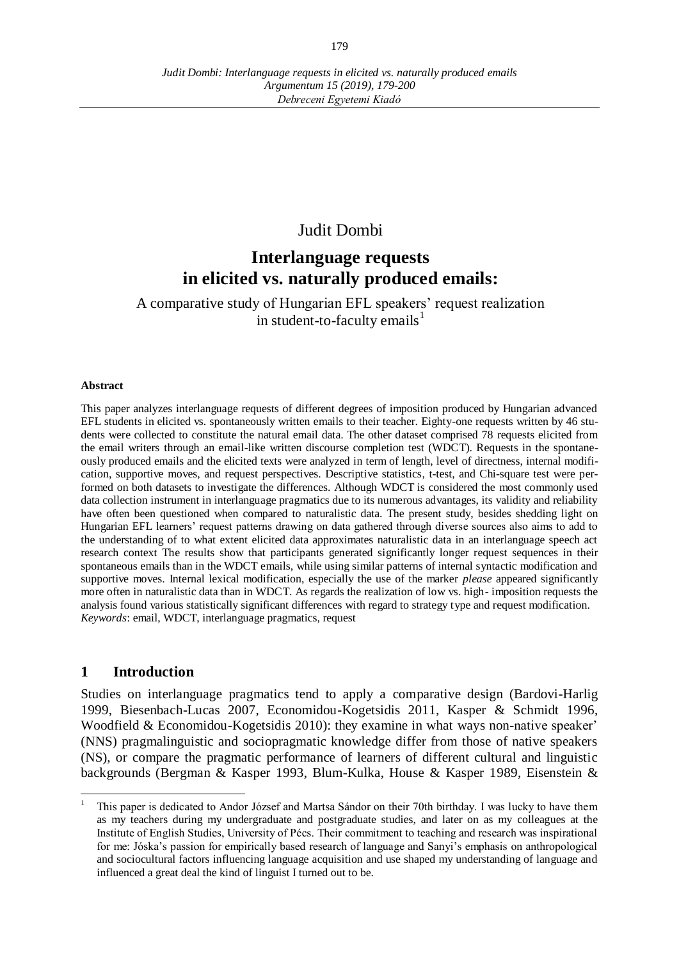*Argumentum 15 (2019), 179-200 Debreceni Egyetemi Kiadó*

# Judit Dombi

# **Interlanguage requests in elicited vs. naturally produced emails:**

A comparative study of Hungarian EFL speakers' request realization in student-to-faculty emails<sup>1</sup>

#### **Abstract**

This paper analyzes interlanguage requests of different degrees of imposition produced by Hungarian advanced EFL students in elicited vs. spontaneously written emails to their teacher. Eighty-one requests written by 46 students were collected to constitute the natural email data. The other dataset comprised 78 requests elicited from the email writers through an email-like written discourse completion test (WDCT). Requests in the spontaneously produced emails and the elicited texts were analyzed in term of length, level of directness, internal modification, supportive moves, and request perspectives. Descriptive statistics, t-test, and Chi-square test were performed on both datasets to investigate the differences. Although WDCT is considered the most commonly used data collection instrument in interlanguage pragmatics due to its numerous advantages, its validity and reliability have often been questioned when compared to naturalistic data. The present study, besides shedding light on Hungarian EFL learners' request patterns drawing on data gathered through diverse sources also aims to add to the understanding of to what extent elicited data approximates naturalistic data in an interlanguage speech act research context The results show that participants generated significantly longer request sequences in their spontaneous emails than in the WDCT emails, while using similar patterns of internal syntactic modification and supportive moves. Internal lexical modification, especially the use of the marker *please* appeared significantly more often in naturalistic data than in WDCT. As regards the realization of low vs. high- imposition requests the analysis found various statistically significant differences with regard to strategy type and request modification. *Keywords*: email, WDCT, interlanguage pragmatics, request

## **1 Introduction**

 $\overline{a}$ 

Studies on interlanguage pragmatics tend to apply a comparative design (Bardovi-Harlig 1999, Biesenbach-Lucas 2007, Economidou-Kogetsidis 2011, Kasper & Schmidt 1996, Woodfield & Economidou-Kogetsidis 2010): they examine in what ways non-native speaker' (NNS) pragmalinguistic and sociopragmatic knowledge differ from those of native speakers (NS), or compare the pragmatic performance of learners of different cultural and linguistic backgrounds (Bergman & Kasper 1993, Blum-Kulka, House & Kasper 1989, Eisenstein &

<sup>1</sup> This paper is dedicated to Andor József and Martsa Sándor on their 70th birthday. I was lucky to have them as my teachers during my undergraduate and postgraduate studies, and later on as my colleagues at the Institute of English Studies, University of Pécs. Their commitment to teaching and research was inspirational for me: Jóska's passion for empirically based research of language and Sanyi's emphasis on anthropological and sociocultural factors influencing language acquisition and use shaped my understanding of language and influenced a great deal the kind of linguist I turned out to be.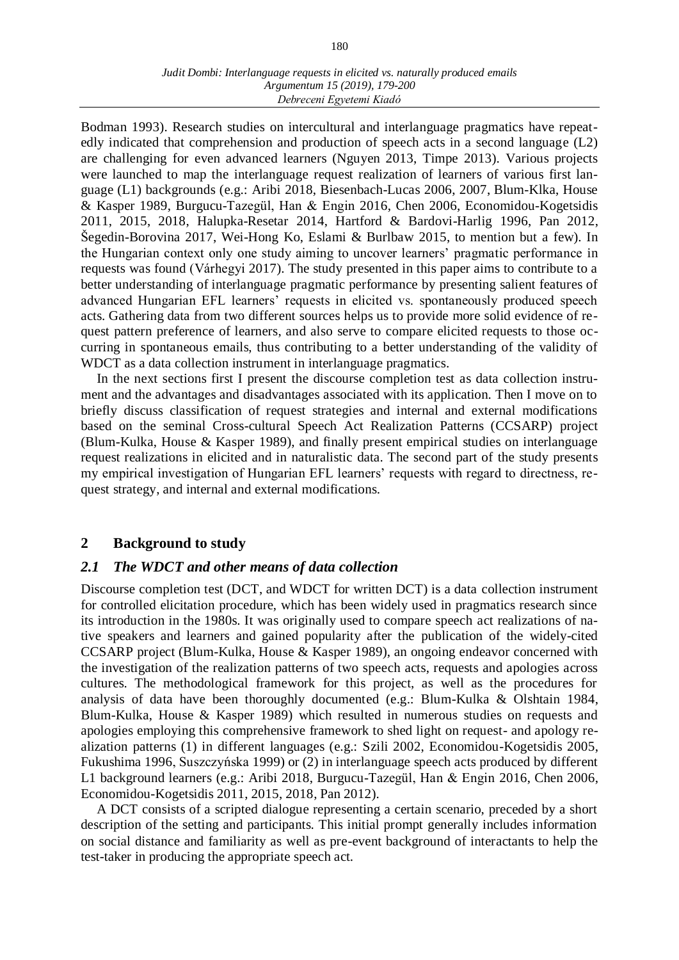Bodman 1993). Research studies on intercultural and interlanguage pragmatics have repeatedly indicated that comprehension and production of speech acts in a second language (L2) are challenging for even advanced learners (Nguyen 2013, Timpe 2013). Various projects were launched to map the interlanguage request realization of learners of various first language (L1) backgrounds (e.g.: Aribi 2018, Biesenbach-Lucas 2006, 2007, Blum-Klka, House & Kasper 1989, Burgucu-Tazegül, Han & Engin 2016, Chen 2006, Economidou-Kogetsidis 2011, 2015, 2018, Halupka-Resetar 2014, Hartford & Bardovi-Harlig 1996, Pan 2012, Šegedin-Borovina 2017, Wei-Hong Ko, Eslami & Burlbaw 2015, to mention but a few). In the Hungarian context only one study aiming to uncover learners' pragmatic performance in requests was found (Várhegyi 2017). The study presented in this paper aims to contribute to a better understanding of interlanguage pragmatic performance by presenting salient features of advanced Hungarian EFL learners' requests in elicited vs. spontaneously produced speech acts. Gathering data from two different sources helps us to provide more solid evidence of request pattern preference of learners, and also serve to compare elicited requests to those occurring in spontaneous emails, thus contributing to a better understanding of the validity of WDCT as a data collection instrument in interlanguage pragmatics.

In the next sections first I present the discourse completion test as data collection instrument and the advantages and disadvantages associated with its application. Then I move on to briefly discuss classification of request strategies and internal and external modifications based on the seminal Cross-cultural Speech Act Realization Patterns (CCSARP) project (Blum-Kulka, House & Kasper 1989), and finally present empirical studies on interlanguage request realizations in elicited and in naturalistic data. The second part of the study presents my empirical investigation of Hungarian EFL learners' requests with regard to directness, request strategy, and internal and external modifications.

## **2 Background to study**

## *2.1 The WDCT and other means of data collection*

Discourse completion test (DCT, and WDCT for written DCT) is a data collection instrument for controlled elicitation procedure, which has been widely used in pragmatics research since its introduction in the 1980s. It was originally used to compare speech act realizations of native speakers and learners and gained popularity after the publication of the widely-cited CCSARP project (Blum-Kulka, House & Kasper 1989), an ongoing endeavor concerned with the investigation of the realization patterns of two speech acts, requests and apologies across cultures. The methodological framework for this project, as well as the procedures for analysis of data have been thoroughly documented (e.g.: Blum-Kulka & Olshtain 1984, Blum-Kulka, House & Kasper 1989) which resulted in numerous studies on requests and apologies employing this comprehensive framework to shed light on request- and apology realization patterns (1) in different languages (e.g.: Szili 2002, Economidou-Kogetsidis 2005, Fukushima 1996, Suszczyńska 1999) or (2) in interlanguage speech acts produced by different L1 background learners (e.g.: Aribi 2018, Burgucu-Tazegül, Han & Engin 2016, Chen 2006, Economidou-Kogetsidis 2011, 2015, 2018, Pan 2012).

A DCT consists of a scripted dialogue representing a certain scenario, preceded by a short description of the setting and participants. This initial prompt generally includes information on social distance and familiarity as well as pre-event background of interactants to help the test-taker in producing the appropriate speech act.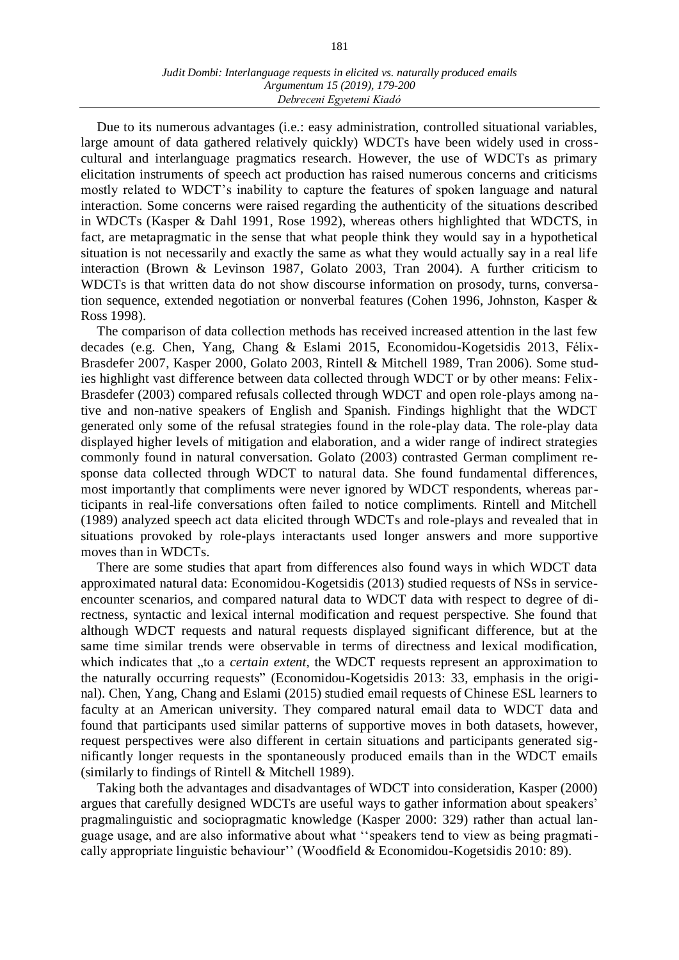Due to its numerous advantages (i.e.: easy administration, controlled situational variables, large amount of data gathered relatively quickly) WDCTs have been widely used in crosscultural and interlanguage pragmatics research. However, the use of WDCTs as primary elicitation instruments of speech act production has raised numerous concerns and criticisms mostly related to WDCT's inability to capture the features of spoken language and natural interaction. Some concerns were raised regarding the authenticity of the situations described in WDCTs (Kasper & Dahl 1991, Rose 1992), whereas others highlighted that WDCTS, in fact, are metapragmatic in the sense that what people think they would say in a hypothetical situation is not necessarily and exactly the same as what they would actually say in a real life interaction (Brown & Levinson 1987, Golato 2003, Tran 2004). A further criticism to WDCTs is that written data do not show discourse information on prosody, turns, conversation sequence, extended negotiation or nonverbal features (Cohen 1996, Johnston, Kasper & Ross 1998).

The comparison of data collection methods has received increased attention in the last few decades (e.g. Chen, Yang, Chang & Eslami 2015, Economidou-Kogetsidis 2013, Félix-Brasdefer 2007, Kasper 2000, Golato 2003, Rintell & Mitchell 1989, Tran 2006). Some studies highlight vast difference between data collected through WDCT or by other means: Felix-Brasdefer (2003) compared refusals collected through WDCT and open role-plays among native and non-native speakers of English and Spanish. Findings highlight that the WDCT generated only some of the refusal strategies found in the role-play data. The role-play data displayed higher levels of mitigation and elaboration, and a wider range of indirect strategies commonly found in natural conversation. Golato (2003) contrasted German compliment response data collected through WDCT to natural data. She found fundamental differences, most importantly that compliments were never ignored by WDCT respondents, whereas participants in real-life conversations often failed to notice compliments. Rintell and Mitchell (1989) analyzed speech act data elicited through WDCTs and role-plays and revealed that in situations provoked by role-plays interactants used longer answers and more supportive moves than in WDCTs.

There are some studies that apart from differences also found ways in which WDCT data approximated natural data: Economidou-Kogetsidis (2013) studied requests of NSs in serviceencounter scenarios, and compared natural data to WDCT data with respect to degree of directness, syntactic and lexical internal modification and request perspective. She found that although WDCT requests and natural requests displayed significant difference, but at the same time similar trends were observable in terms of directness and lexical modification, which indicates that "to a *certain extent*, the WDCT requests represent an approximation to the naturally occurring requests" (Economidou-Kogetsidis 2013: 33, emphasis in the original). Chen, Yang, Chang and Eslami (2015) studied email requests of Chinese ESL learners to faculty at an American university. They compared natural email data to WDCT data and found that participants used similar patterns of supportive moves in both datasets, however, request perspectives were also different in certain situations and participants generated significantly longer requests in the spontaneously produced emails than in the WDCT emails (similarly to findings of Rintell & Mitchell 1989).

Taking both the advantages and disadvantages of WDCT into consideration, Kasper (2000) argues that carefully designed WDCTs are useful ways to gather information about speakers' pragmalinguistic and sociopragmatic knowledge (Kasper 2000: 329) rather than actual language usage, and are also informative about what ''speakers tend to view as being pragmatically appropriate linguistic behaviour'' (Woodfield & Economidou-Kogetsidis 2010: 89).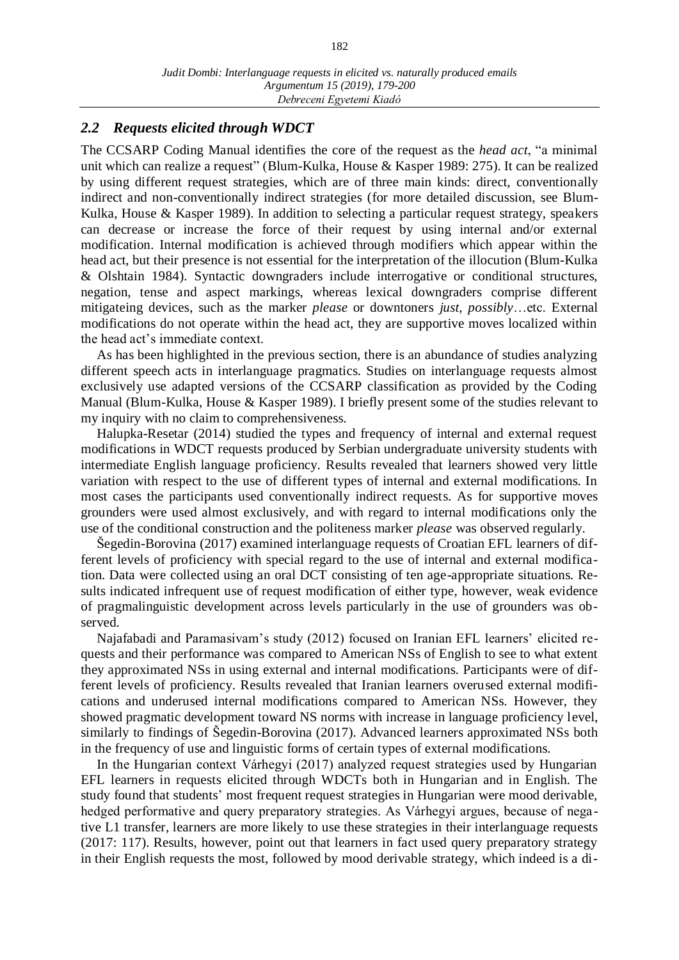# *2.2 Requests elicited through WDCT*

The CCSARP Coding Manual identifies the core of the request as the *head act*, "a minimal unit which can realize a request" (Blum-Kulka, House & Kasper 1989: 275). It can be realized by using different request strategies, which are of three main kinds: direct, conventionally indirect and non-conventionally indirect strategies (for more detailed discussion, see Blum-Kulka, House & Kasper 1989). In addition to selecting a particular request strategy, speakers can decrease or increase the force of their request by using internal and/or external modification. Internal modification is achieved through modifiers which appear within the head act, but their presence is not essential for the interpretation of the illocution (Blum-Kulka & Olshtain 1984). Syntactic downgraders include interrogative or conditional structures, negation, tense and aspect markings, whereas lexical downgraders comprise different mitigateing devices, such as the marker *please* or downtoners *just, possibly*…etc. External modifications do not operate within the head act, they are supportive moves localized within the head act's immediate context.

As has been highlighted in the previous section, there is an abundance of studies analyzing different speech acts in interlanguage pragmatics. Studies on interlanguage requests almost exclusively use adapted versions of the CCSARP classification as provided by the Coding Manual (Blum-Kulka, House & Kasper 1989). I briefly present some of the studies relevant to my inquiry with no claim to comprehensiveness.

Halupka-Resetar (2014) studied the types and frequency of internal and external request modifications in WDCT requests produced by Serbian undergraduate university students with intermediate English language proficiency. Results revealed that learners showed very little variation with respect to the use of different types of internal and external modifications. In most cases the participants used conventionally indirect requests. As for supportive moves grounders were used almost exclusively, and with regard to internal modifications only the use of the conditional construction and the politeness marker *please* was observed regularly.

Šegedin-Borovina (2017) examined interlanguage requests of Croatian EFL learners of different levels of proficiency with special regard to the use of internal and external modification. Data were collected using an oral DCT consisting of ten age-appropriate situations. Results indicated infrequent use of request modification of either type, however, weak evidence of pragmalinguistic development across levels particularly in the use of grounders was observed.

Najafabadi and Paramasivam's study (2012) focused on Iranian EFL learners' elicited requests and their performance was compared to American NSs of English to see to what extent they approximated NSs in using external and internal modifications. Participants were of different levels of proficiency. Results revealed that Iranian learners overused external modifications and underused internal modifications compared to American NSs. However, they showed pragmatic development toward NS norms with increase in language proficiency level, similarly to findings of Šegedin-Borovina (2017). Advanced learners approximated NSs both in the frequency of use and linguistic forms of certain types of external modifications.

In the Hungarian context Várhegyi (2017) analyzed request strategies used by Hungarian EFL learners in requests elicited through WDCTs both in Hungarian and in English. The study found that students' most frequent request strategies in Hungarian were mood derivable, hedged performative and query preparatory strategies. As Várhegyi argues, because of negative L1 transfer, learners are more likely to use these strategies in their interlanguage requests (2017: 117). Results, however, point out that learners in fact used query preparatory strategy in their English requests the most, followed by mood derivable strategy, which indeed is a di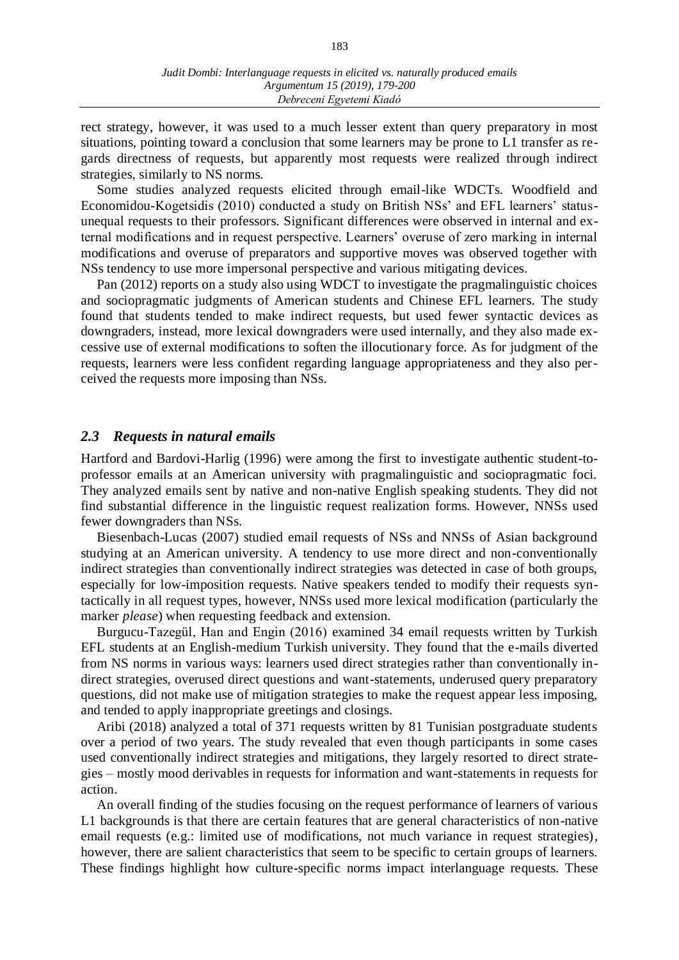rect strategy, however, it was used to a much lesser extent than query preparatory in most situations, pointing toward a conclusion that some learners may be prone to L1 transfer as regards directness of requests, but apparently most requests were realized through indirect strategies, similarly to NS norms.

Some studies analyzed requests elicited through email-like WDCTs. Woodfield and Economidou-Kogetsidis (2010) conducted a study on British NSs' and EFL learners' statusunequal requests to their professors. Significant differences were observed in internal and external modifications and in request perspective. Learners' overuse of zero marking in internal modifications and overuse of preparators and supportive moves was observed together with NSs tendency to use more impersonal perspective and various mitigating devices.

Pan (2012) reports on a study also using WDCT to investigate the pragmalinguistic choices and sociopragmatic judgments of American students and Chinese EFL learners. The study found that students tended to make indirect requests, but used fewer syntactic devices as downgraders, instead, more lexical downgraders were used internally, and they also made excessive use of external modifications to soften the illocutionary force. As for judgment of the requests, learners were less confident regarding language appropriateness and they also perceived the requests more imposing than NSs.

#### *2.3 Requests in natural emails*

Hartford and Bardovi-Harlig (1996) were among the first to investigate authentic student-toprofessor emails at an American university with pragmalinguistic and sociopragmatic foci. They analyzed emails sent by native and non-native English speaking students. They did not find substantial difference in the linguistic request realization forms. However, NNSs used fewer downgraders than NSs.

Biesenbach-Lucas (2007) studied email requests of NSs and NNSs of Asian background studying at an American university. A tendency to use more direct and non-conventionally indirect strategies than conventionally indirect strategies was detected in case of both groups, especially for low-imposition requests. Native speakers tended to modify their requests syntactically in all request types, however, NNSs used more lexical modification (particularly the marker *please*) when requesting feedback and extension.

Burgucu-Tazegül, Han and Engin (2016) examined 34 email requests written by Turkish EFL students at an English-medium Turkish university. They found that the e-mails diverted from NS norms in various ways: learners used direct strategies rather than conventionally indirect strategies, overused direct questions and want-statements, underused query preparatory questions, did not make use of mitigation strategies to make the request appear less imposing, and tended to apply inappropriate greetings and closings.

Aribi (2018) analyzed a total of 371 requests written by 81 Tunisian postgraduate students over a period of two years. The study revealed that even though participants in some cases used conventionally indirect strategies and mitigations, they largely resorted to direct strategies – mostly mood derivables in requests for information and want-statements in requests for action.

An overall finding of the studies focusing on the request performance of learners of various L1 backgrounds is that there are certain features that are general characteristics of non-native email requests (e.g.: limited use of modifications, not much variance in request strategies), however, there are salient characteristics that seem to be specific to certain groups of learners. These findings highlight how culture-specific norms impact interlanguage requests. These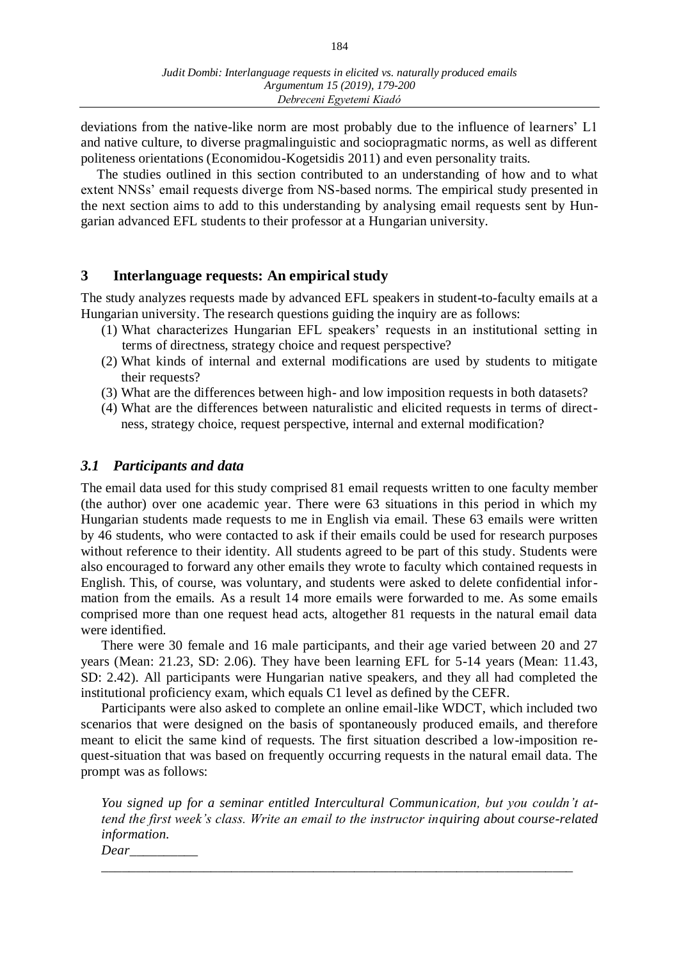deviations from the native-like norm are most probably due to the influence of learners' L1 and native culture, to diverse pragmalinguistic and sociopragmatic norms, as well as different politeness orientations (Economidou-Kogetsidis 2011) and even personality traits.

The studies outlined in this section contributed to an understanding of how and to what extent NNSs' email requests diverge from NS-based norms. The empirical study presented in the next section aims to add to this understanding by analysing email requests sent by Hungarian advanced EFL students to their professor at a Hungarian university.

# **3 Interlanguage requests: An empirical study**

The study analyzes requests made by advanced EFL speakers in student-to-faculty emails at a Hungarian university. The research questions guiding the inquiry are as follows:

- (1) What characterizes Hungarian EFL speakers' requests in an institutional setting in terms of directness, strategy choice and request perspective?
- (2) What kinds of internal and external modifications are used by students to mitigate their requests?
- (3) What are the differences between high- and low imposition requests in both datasets?
- (4) What are the differences between naturalistic and elicited requests in terms of directness, strategy choice, request perspective, internal and external modification?

# *3.1 Participants and data*

The email data used for this study comprised 81 email requests written to one faculty member (the author) over one academic year. There were 63 situations in this period in which my Hungarian students made requests to me in English via email. These 63 emails were written by 46 students, who were contacted to ask if their emails could be used for research purposes without reference to their identity. All students agreed to be part of this study. Students were also encouraged to forward any other emails they wrote to faculty which contained requests in English. This, of course, was voluntary, and students were asked to delete confidential information from the emails. As a result 14 more emails were forwarded to me. As some emails comprised more than one request head acts, altogether 81 requests in the natural email data were identified.

There were 30 female and 16 male participants, and their age varied between 20 and 27 years (Mean: 21.23, SD: 2.06). They have been learning EFL for 5-14 years (Mean: 11.43, SD: 2.42). All participants were Hungarian native speakers, and they all had completed the institutional proficiency exam, which equals C1 level as defined by the CEFR.

Participants were also asked to complete an online email-like WDCT, which included two scenarios that were designed on the basis of spontaneously produced emails, and therefore meant to elicit the same kind of requests. The first situation described a low-imposition request-situation that was based on frequently occurring requests in the natural email data. The prompt was as follows:

*You signed up for a seminar entitled Intercultural Communication, but you couldn't attend the first week's class. Write an email to the instructor inquiring about course-related information.*

*Dear\_\_\_\_\_\_\_\_\_\_ \_\_\_\_\_\_\_\_\_\_\_\_\_\_\_\_\_\_\_\_\_\_\_\_\_\_\_\_\_\_\_\_\_\_\_\_\_\_\_\_\_\_\_\_\_\_\_\_\_\_\_\_\_\_\_\_\_\_\_\_\_\_\_\_\_\_\_\_\_*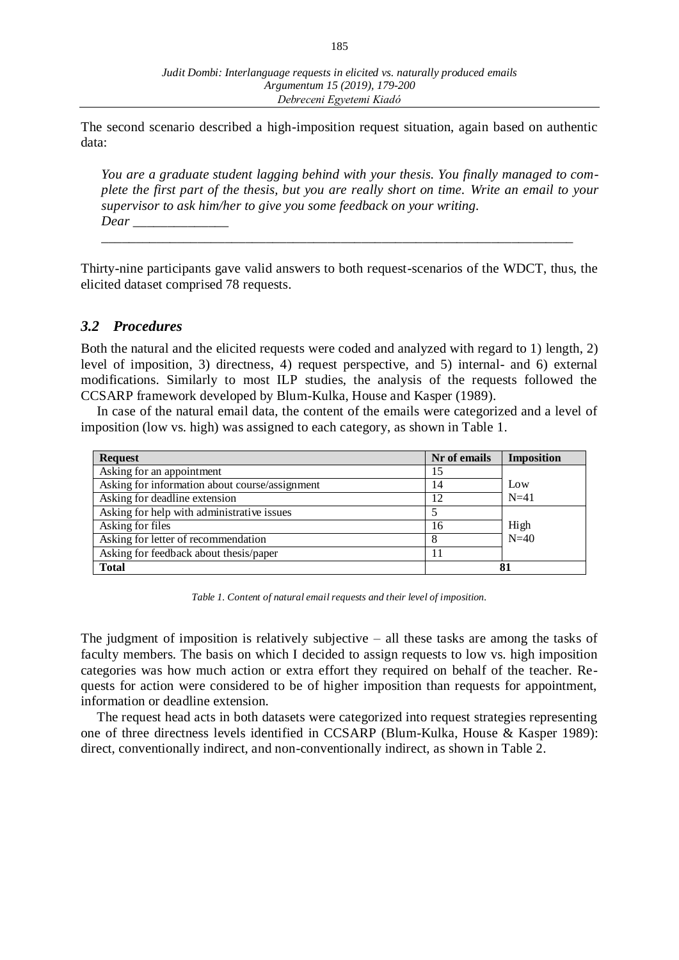The second scenario described a high-imposition request situation, again based on authentic data:

*You are a graduate student lagging behind with your thesis. You finally managed to complete the first part of the thesis, but you are really short on time. Write an email to your supervisor to ask him/her to give you some feedback on your writing. Dear \_\_\_\_\_\_\_\_\_\_\_\_\_\_*

Thirty-nine participants gave valid answers to both request-scenarios of the WDCT, thus, the elicited dataset comprised 78 requests.

*\_\_\_\_\_\_\_\_\_\_\_\_\_\_\_\_\_\_\_\_\_\_\_\_\_\_\_\_\_\_\_\_\_\_\_\_\_\_\_\_\_\_\_\_\_\_\_\_\_\_\_\_\_\_\_\_\_\_\_\_\_\_\_\_\_\_\_\_\_*

### *3.2 Procedures*

Both the natural and the elicited requests were coded and analyzed with regard to 1) length, 2) level of imposition, 3) directness, 4) request perspective, and 5) internal- and 6) external modifications. Similarly to most ILP studies, the analysis of the requests followed the CCSARP framework developed by Blum-Kulka, House and Kasper (1989).

In case of the natural email data, the content of the emails were categorized and a level of imposition (low vs. high) was assigned to each category, as shown in Table 1.

| <b>Request</b>                                 | Nr of emails | <b>Imposition</b> |  |
|------------------------------------------------|--------------|-------------------|--|
| Asking for an appointment                      | 15           |                   |  |
| Asking for information about course/assignment | 14           | Low               |  |
| Asking for deadline extension                  | 12           | $N=41$            |  |
| Asking for help with administrative issues     |              |                   |  |
| Asking for files                               | 16           | High              |  |
| Asking for letter of recommendation            | 8            | $N=40$            |  |
| Asking for feedback about thesis/paper         | 11           |                   |  |
| <b>Total</b>                                   | 81           |                   |  |

*Table 1. Content of natural email requests and their level of imposition.*

The judgment of imposition is relatively subjective – all these tasks are among the tasks of faculty members. The basis on which I decided to assign requests to low vs. high imposition categories was how much action or extra effort they required on behalf of the teacher. Requests for action were considered to be of higher imposition than requests for appointment, information or deadline extension.

The request head acts in both datasets were categorized into request strategies representing one of three directness levels identified in CCSARP (Blum-Kulka, House & Kasper 1989): direct, conventionally indirect, and non-conventionally indirect, as shown in Table 2.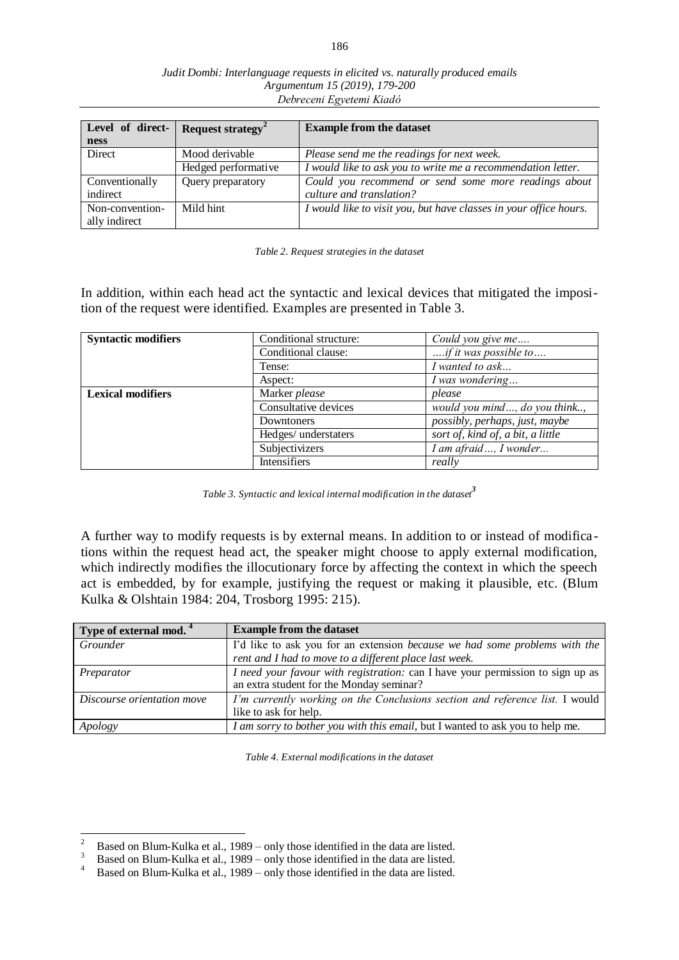| Level of direct-<br><b>ness</b> | Request strategy <sup>2</sup> | <b>Example from the dataset</b>                                   |
|---------------------------------|-------------------------------|-------------------------------------------------------------------|
| Direct                          | Mood derivable                | Please send me the readings for next week.                        |
|                                 | Hedged performative           | I would like to ask you to write me a recommendation letter.      |
| Conventionally                  | Query preparatory             | Could you recommend or send some more readings about              |
| indirect                        |                               | culture and translation?                                          |
| Non-convention-                 | Mild hint                     | I would like to visit you, but have classes in your office hours. |
| ally indirect                   |                               |                                                                   |

*Table 2. Request strategies in the dataset*

In addition, within each head act the syntactic and lexical devices that mitigated the imposition of the request were identified. Examples are presented in Table 3.

| <b>Syntactic modifiers</b> | Conditional structure: | Could you give me                 |
|----------------------------|------------------------|-----------------------------------|
|                            | Conditional clause:    | if it was possible to             |
|                            | Tense:                 | I wanted to ask                   |
|                            | Aspect:                | I was wondering                   |
| <b>Lexical modifiers</b>   | Marker please          | please                            |
|                            | Consultative devices   | would you mind, do you think,     |
|                            | Downtoners             | possibly, perhaps, just, maybe    |
|                            | Hedges/ understaters   | sort of, kind of, a bit, a little |
|                            | Subjectivizers         | I am afraid, I wonder             |
|                            | Intensifiers           | really                            |

*Table 3. Syntactic and lexical internal modification in the dataset<sup>3</sup>*

A further way to modify requests is by external means. In addition to or instead of modifica tions within the request head act, the speaker might choose to apply external modification, which indirectly modifies the illocutionary force by affecting the context in which the speech act is embedded, by for example, justifying the request or making it plausible, etc. (Blum Kulka & Olshtain 1984: 204, Trosborg 1995: 215).

| Type of external mod. <sup>4</sup> | <b>Example from the dataset</b>                                                |
|------------------------------------|--------------------------------------------------------------------------------|
| Grounder                           | I'd like to ask you for an extension because we had some problems with the     |
|                                    | rent and I had to move to a different place last week.                         |
| Preparator                         | I need your favour with registration: can I have your permission to sign up as |
|                                    | an extra student for the Monday seminar?                                       |
| Discourse orientation move         | I'm currently working on the Conclusions section and reference list. I would   |
|                                    | like to ask for help.                                                          |
| Apology                            | I am sorry to bother you with this email, but I wanted to ask you to help me.  |

*Table 4. External modifications in the dataset*

 $\overline{c}$ <sup>2</sup> Based on Blum-Kulka et al., 1989 – only those identified in the data are listed.<br><sup>3</sup> Based on Blum-Kulka et al., 1989 – only those identified in the data are listed.

<sup>&</sup>lt;sup>3</sup> Based on Blum-Kulka et al., 1989 – only those identified in the data are listed.<br><sup>4</sup> Based on Blum-Kulka et al., 1989 – only those identified in the data are listed.

Based on Blum-Kulka et al., 1989 – only those identified in the data are listed.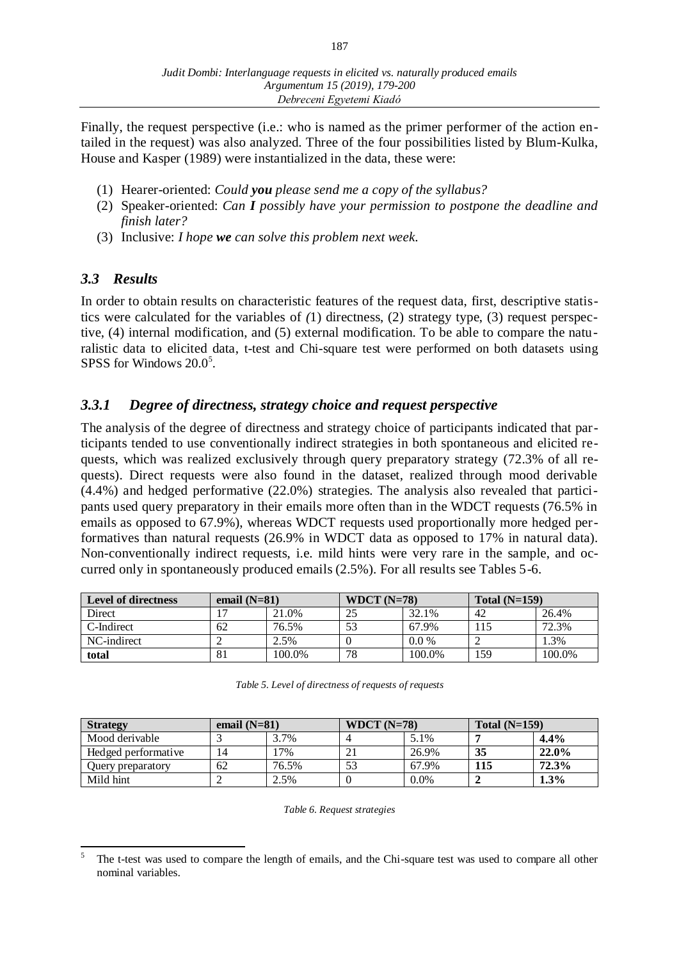Finally, the request perspective (i.e.: who is named as the primer performer of the action entailed in the request) was also analyzed. Three of the four possibilities listed by Blum-Kulka, House and Kasper (1989) were instantialized in the data, these were:

- (1) Hearer-oriented: *Could you please send me a copy of the syllabus?*
- (2) Speaker-oriented: *Can I possibly have your permission to postpone the deadline and finish later?*
- (3) Inclusive: *I hope we can solve this problem next week.*

# *3.3 Results*

In order to obtain results on characteristic features of the request data, first, descriptive statistics were calculated for the variables of *(*1) directness, (2) strategy type, (3) request perspective, (4) internal modification, and (5) external modification. To be able to compare the naturalistic data to elicited data, t-test and Chi-square test were performed on both datasets using SPSS for Windows  $20.0<sup>5</sup>$ .

# *3.3.1 Degree of directness, strategy choice and request perspective*

The analysis of the degree of directness and strategy choice of participants indicated that participants tended to use conventionally indirect strategies in both spontaneous and elicited requests, which was realized exclusively through query preparatory strategy (72.3% of all requests). Direct requests were also found in the dataset, realized through mood derivable (4.4%) and hedged performative (22.0%) strategies. The analysis also revealed that participants used query preparatory in their emails more often than in the WDCT requests (76.5% in emails as opposed to 67.9%), whereas WDCT requests used proportionally more hedged performatives than natural requests (26.9% in WDCT data as opposed to 17% in natural data). Non-conventionally indirect requests, i.e. mild hints were very rare in the sample, and occurred only in spontaneously produced emails (2.5%). For all results see Tables 5-6.

| <b>Level of directness</b> | email $(N=81)$ |        | WDCT $(N=78)$ |         | Total $(N=159)$ |        |
|----------------------------|----------------|--------|---------------|---------|-----------------|--------|
| Direct                     |                | 21.0%  |               | 32.1%   | 42              | 26.4%  |
| C-Indirect                 | 62             | 76.5%  |               | 67.9%   | 115             | 72.3%  |
| NC-indirect                |                | 2.5%   |               | $0.0\%$ |                 | 1.3%   |
| total                      | 81             | 100.0% | 78            | 100.0%  | 159             | 100.0% |

| <b>Strategy</b>     | email $(N=81)$ |       | WDCT $(N=78)$ |         | Total $(N=159)$ |       |
|---------------------|----------------|-------|---------------|---------|-----------------|-------|
| Mood derivable      |                | 3.7%  |               | 5.1%    |                 | 4.4%  |
| Hedged performative | 14             | 7%    |               | 26.9%   | 35              | 22.0% |
| Query preparatory   | 62             | 76.5% |               | 67.9%   | 115             | 72.3% |
| Mild hint           |                | 2.5%  |               | $0.0\%$ |                 | 1.3%  |

*Table 6. Request strategies*

 $\overline{a}$ 5 The t-test was used to compare the length of emails, and the Chi-square test was used to compare all other nominal variables.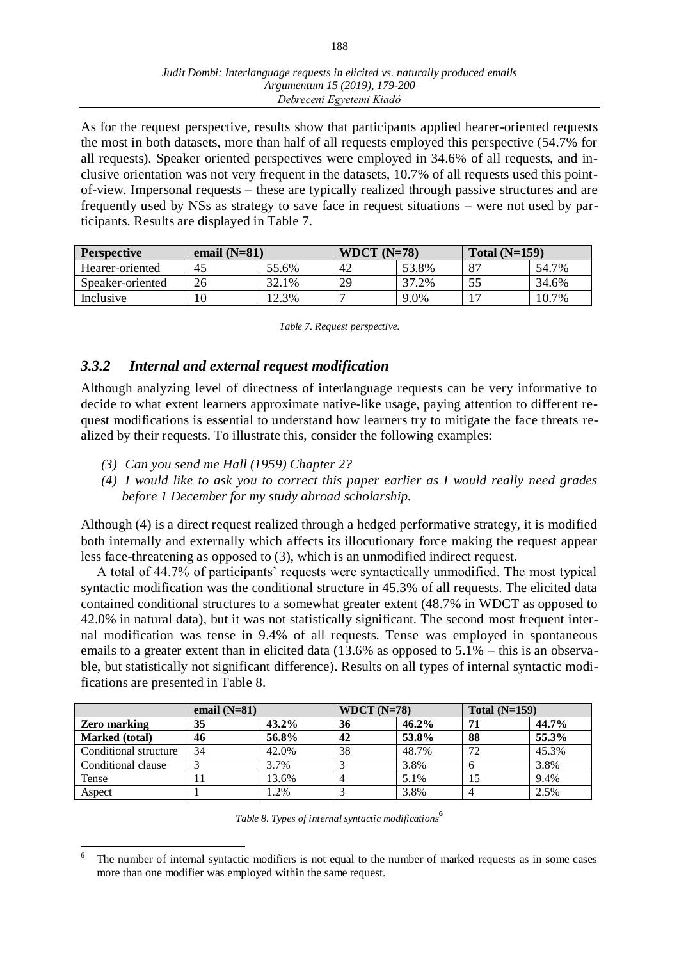As for the request perspective, results show that participants applied hearer-oriented requests the most in both datasets, more than half of all requests employed this perspective (54.7% for all requests). Speaker oriented perspectives were employed in 34.6% of all requests, and inclusive orientation was not very frequent in the datasets, 10.7% of all requests used this pointof-view. Impersonal requests – these are typically realized through passive structures and are frequently used by NSs as strategy to save face in request situations – were not used by participants. Results are displayed in Table 7.

| <b>Perspective</b> | email $(N=81)$ |       | WDCT $(N=78)$ |       | Total $(N=159)$ |       |
|--------------------|----------------|-------|---------------|-------|-----------------|-------|
| Hearer-oriented    | 45             | 55.6% | 42            | 53.8% | -87             | 54.7% |
| Speaker-oriented   | 26             | 32.1% | 29            | 37.2% | 55              | 34.6% |
| Inclusive          | 10             | 12.3% |               | 9.0%  |                 | 10.7% |

|  | Table 7. Request perspective. |
|--|-------------------------------|
|  |                               |

# *3.3.2 Internal and external request modification*

Although analyzing level of directness of interlanguage requests can be very informative to decide to what extent learners approximate native-like usage, paying attention to different request modifications is essential to understand how learners try to mitigate the face threats realized by their requests. To illustrate this, consider the following examples:

- *(3) Can you send me Hall (1959) Chapter 2?*
- *(4) I would like to ask you to correct this paper earlier as I would really need grades before 1 December for my study abroad scholarship.*

Although (4) is a direct request realized through a hedged performative strategy, it is modified both internally and externally which affects its illocutionary force making the request appear less face-threatening as opposed to (3), which is an unmodified indirect request.

A total of 44.7% of participants' requests were syntactically unmodified. The most typical syntactic modification was the conditional structure in 45.3% of all requests. The elicited data contained conditional structures to a somewhat greater extent (48.7% in WDCT as opposed to 42.0% in natural data), but it was not statistically significant. The second most frequent internal modification was tense in 9.4% of all requests. Tense was employed in spontaneous emails to a greater extent than in elicited data (13.6% as opposed to 5.1% – this is an observable, but statistically not significant difference). Results on all types of internal syntactic modifications are presented in Table 8.

|                       | email $(N=81)$ |          | WDCT $(N=78)$ |       | Total $(N=159)$ |       |
|-----------------------|----------------|----------|---------------|-------|-----------------|-------|
| <b>Zero marking</b>   | 35             | $43.2\%$ | 36            | 46.2% |                 | 44.7% |
| Marked (total)        | 46             | 56.8%    | 42            | 53.8% | 88              | 55.3% |
| Conditional structure | 34             | 42.0%    | 38            | 48.7% | 72              | 45.3% |
| Conditional clause    |                | 3.7%     |               | 3.8%  |                 | 3.8%  |
| Tense                 |                | 13.6%    |               | 5.1%  | 15              | 9.4%  |
| Aspect                |                | .2%      |               | 3.8%  |                 | 2.5%  |

*Table 8. Types of internal syntactic modifications***<sup>6</sup>**

 $\overline{a}$ 6 The number of internal syntactic modifiers is not equal to the number of marked requests as in some cases more than one modifier was employed within the same request.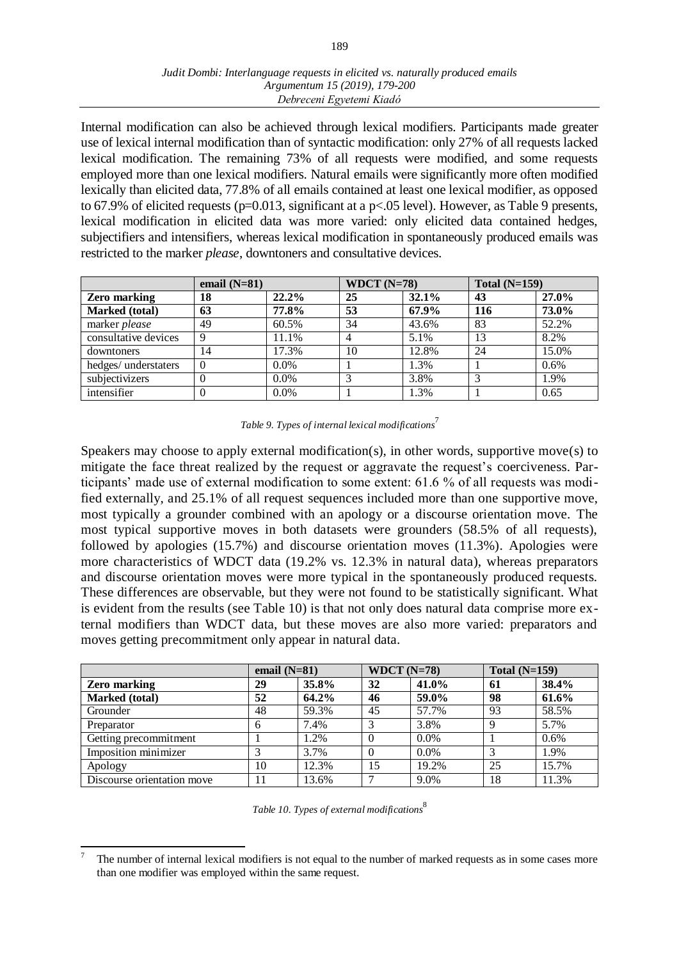Internal modification can also be achieved through lexical modifiers. Participants made greater use of lexical internal modification than of syntactic modification: only 27% of all requests lacked lexical modification. The remaining 73% of all requests were modified, and some requests employed more than one lexical modifiers. Natural emails were significantly more often modified lexically than elicited data, 77.8% of all emails contained at least one lexical modifier, as opposed to 67.9% of elicited requests ( $p=0.013$ , significant at a  $p<.05$  level). However, as Table 9 presents, lexical modification in elicited data was more varied: only elicited data contained hedges, subjectifiers and intensifiers, whereas lexical modification in spontaneously produced emails was restricted to the marker *please*, downtoners and consultative devices.

|                      | email $(N=81)$ |         | WDCT $(N=78)$ |       | Total $(N=159)$ |       |
|----------------------|----------------|---------|---------------|-------|-----------------|-------|
| <b>Zero marking</b>  | 18             | 22.2%   | 25            | 32.1% | 43              | 27.0% |
| Marked (total)       | 63             | 77.8%   | 53            | 67.9% | 116             | 73.0% |
| marker please        | 49             | 60.5%   | 34            | 43.6% | 83              | 52.2% |
| consultative devices | 9              | 11.1%   | 4             | 5.1%  | 13              | 8.2%  |
| downtoners           | 14             | 17.3%   | 10            | 12.8% | 24              | 15.0% |
| hedges/ understaters |                | $0.0\%$ |               | 1.3%  |                 | 0.6%  |
| subjectivizers       |                | $0.0\%$ | 3             | 3.8%  |                 | 1.9%  |
| intensifier          |                | $0.0\%$ |               | 1.3%  |                 | 0.65  |

| Table 9. Types of internal lexical modifications <sup>1</sup> |  |  |  |  |  |
|---------------------------------------------------------------|--|--|--|--|--|
|---------------------------------------------------------------|--|--|--|--|--|

Speakers may choose to apply external modification(s), in other words, supportive move(s) to mitigate the face threat realized by the request or aggravate the request's coerciveness. Participants' made use of external modification to some extent: 61.6 % of all requests was modified externally, and 25.1% of all request sequences included more than one supportive move, most typically a grounder combined with an apology or a discourse orientation move. The most typical supportive moves in both datasets were grounders (58.5% of all requests), followed by apologies (15.7%) and discourse orientation moves (11.3%). Apologies were more characteristics of WDCT data (19.2% vs. 12.3% in natural data), whereas preparators and discourse orientation moves were more typical in the spontaneously produced requests. These differences are observable, but they were not found to be statistically significant. What is evident from the results (see Table 10) is that not only does natural data comprise more external modifiers than WDCT data, but these moves are also more varied: preparators and moves getting precommitment only appear in natural data.

|                            | email $(N=81)$ |       | WDCT $(N=78)$ |         | Total $(N=159)$ |       |
|----------------------------|----------------|-------|---------------|---------|-----------------|-------|
| <b>Zero marking</b>        | 29             | 35.8% | 32            | 41.0%   | 61              | 38.4% |
| Marked (total)             | 52             | 64.2% | 46            | 59.0%   | 98              | 61.6% |
| Grounder                   | 48             | 59.3% | 45            | 57.7%   | 93              | 58.5% |
| Preparator                 | 6              | 7.4%  |               | 3.8%    | 9               | 5.7%  |
| Getting precommitment      |                | 1.2%  | $\Omega$      | $0.0\%$ |                 | 0.6%  |
| Imposition minimizer       |                | 3.7%  | $\Omega$      | $0.0\%$ |                 | 1.9%  |
| Apology                    | 10             | 12.3% | 15            | 19.2%   | 25              | 15.7% |
| Discourse orientation move | 11             | 13.6% |               | 9.0%    | 18              | 11.3% |

|  | Table 10. Types of external modifications |  |
|--|-------------------------------------------|--|

 $\overline{a}$ 7 The number of internal lexical modifiers is not equal to the number of marked requests as in some cases more than one modifier was employed within the same request.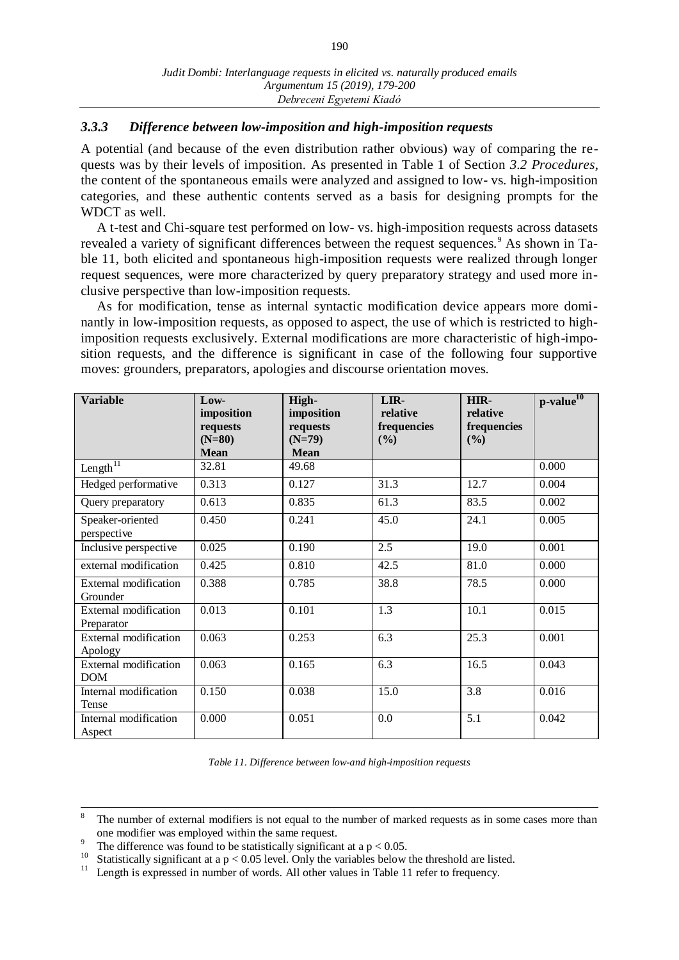# *3.3.3 Difference between low-imposition and high-imposition requests*

A potential (and because of the even distribution rather obvious) way of comparing the requests was by their levels of imposition. As presented in Table 1 of Section *3.2 Procedures*, the content of the spontaneous emails were analyzed and assigned to low- vs. high-imposition categories, and these authentic contents served as a basis for designing prompts for the WDCT as well.

A t-test and Chi-square test performed on low- vs. high-imposition requests across datasets revealed a variety of significant differences between the request sequences.<sup>9</sup> As shown in Table 11, both elicited and spontaneous high-imposition requests were realized through longer request sequences, were more characterized by query preparatory strategy and used more inclusive perspective than low-imposition requests.

As for modification, tense as internal syntactic modification device appears more dominantly in low-imposition requests, as opposed to aspect, the use of which is restricted to highimposition requests exclusively. External modifications are more characteristic of high-imposition requests, and the difference is significant in case of the following four supportive moves: grounders, preparators, apologies and discourse orientation moves.

| <b>Variable</b>                            | Low-<br>imposition<br>requests<br>$(N=80)$<br><b>Mean</b> | High-<br>imposition<br>requests<br>$(N=79)$<br><b>Mean</b> | LIR-<br>relative<br>frequencies<br>(%) | HIR-<br>relative<br>frequencies<br>(%) | $p$ -value $^{10}$ |
|--------------------------------------------|-----------------------------------------------------------|------------------------------------------------------------|----------------------------------------|----------------------------------------|--------------------|
| Length $\overline{^{11}}$                  | 32.81                                                     | 49.68                                                      |                                        |                                        | 0.000              |
| Hedged performative                        | 0.313                                                     | 0.127                                                      | 31.3                                   | 12.7                                   | 0.004              |
| Query preparatory                          | 0.613                                                     | 0.835                                                      | 61.3                                   | 83.5                                   | 0.002              |
| Speaker-oriented<br>perspective            | 0.450                                                     | 0.241                                                      | 45.0                                   | 24.1                                   | 0.005              |
| Inclusive perspective                      | 0.025                                                     | 0.190                                                      | 2.5                                    | 19.0                                   | 0.001              |
| external modification                      | 0.425                                                     | 0.810                                                      | 42.5                                   | 81.0                                   | 0.000              |
| External modification<br>Grounder          | 0.388                                                     | 0.785                                                      | 38.8                                   | 78.5                                   | 0.000              |
| External modification<br>Preparator        | 0.013                                                     | 0.101                                                      | 1.3                                    | 10.1                                   | 0.015              |
| <b>External modification</b><br>Apology    | 0.063                                                     | 0.253                                                      | 6.3                                    | 25.3                                   | 0.001              |
| <b>External modification</b><br><b>DOM</b> | 0.063                                                     | 0.165                                                      | 6.3                                    | 16.5                                   | 0.043              |
| Internal modification<br>Tense             | 0.150                                                     | 0.038                                                      | 15.0                                   | 3.8                                    | 0.016              |
| Internal modification<br>Aspect            | 0.000                                                     | 0.051                                                      | 0.0                                    | 5.1                                    | 0.042              |

*Table 11. Difference between low-and high-imposition requests*

<sup>8</sup> The number of external modifiers is not equal to the number of marked requests as in some cases more than one modifier was employed within the same request.

<sup>9</sup> The difference was found to be statistically significant at a  $p < 0.05$ .

<sup>&</sup>lt;sup>10</sup> Statistically significant at a p < 0.05 level. Only the variables below the threshold are listed.

Length is expressed in number of words. All other values in Table 11 refer to frequency.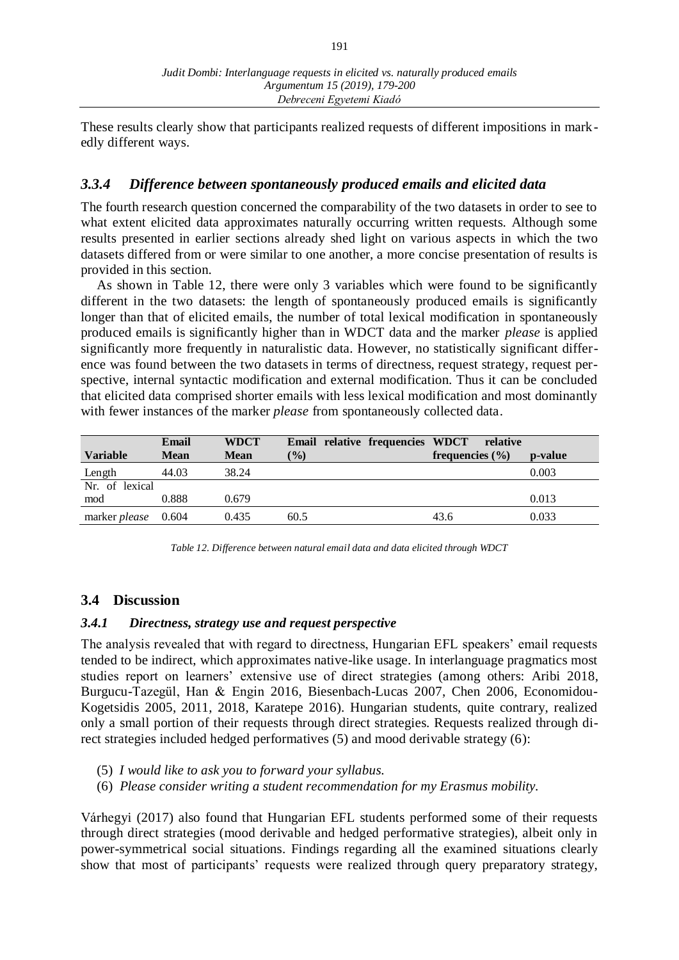These results clearly show that participants realized requests of different impositions in markedly different ways.

# *3.3.4 Difference between spontaneously produced emails and elicited data*

The fourth research question concerned the comparability of the two datasets in order to see to what extent elicited data approximates naturally occurring written requests. Although some results presented in earlier sections already shed light on various aspects in which the two datasets differed from or were similar to one another, a more concise presentation of results is provided in this section.

As shown in Table 12, there were only 3 variables which were found to be significantly different in the two datasets: the length of spontaneously produced emails is significantly longer than that of elicited emails, the number of total lexical modification in spontaneously produced emails is significantly higher than in WDCT data and the marker *please* is applied significantly more frequently in naturalistic data. However, no statistically significant difference was found between the two datasets in terms of directness, request strategy, request perspective, internal syntactic modification and external modification. Thus it can be concluded that elicited data comprised shorter emails with less lexical modification and most dominantly with fewer instances of the marker *please* from spontaneously collected data.

|                            | Email       | <b>WDCT</b> | Email relative frequencies WDCT | relative            |         |
|----------------------------|-------------|-------------|---------------------------------|---------------------|---------|
| <b>Variable</b>            | <b>Mean</b> | <b>Mean</b> | $\frac{1}{2}$                   | frequencies $(\% )$ | p-value |
| Length                     | 44.03       | 38.24       |                                 |                     | 0.003   |
| Nr. of lexical             |             |             |                                 |                     |         |
| mod                        | 0.888       | 0.679       |                                 |                     | 0.013   |
| marker <i>please</i> 0.604 |             | 0.435       | 60.5                            | 43.6                | 0.033   |

*Table 12. Difference between natural email data and data elicited through WDCT*

## **3.4 Discussion**

### *3.4.1 Directness, strategy use and request perspective*

The analysis revealed that with regard to directness, Hungarian EFL speakers' email requests tended to be indirect, which approximates native-like usage. In interlanguage pragmatics most studies report on learners' extensive use of direct strategies (among others: Aribi 2018, Burgucu-Tazegül, Han & Engin 2016, Biesenbach-Lucas 2007, Chen 2006, Economidou-Kogetsidis 2005, 2011, 2018, Karatepe 2016). Hungarian students, quite contrary, realized only a small portion of their requests through direct strategies. Requests realized through direct strategies included hedged performatives (5) and mood derivable strategy (6):

- (5) *I would like to ask you to forward your syllabus.*
- (6) *Please consider writing a student recommendation for my Erasmus mobility.*

Várhegyi (2017) also found that Hungarian EFL students performed some of their requests through direct strategies (mood derivable and hedged performative strategies), albeit only in power-symmetrical social situations. Findings regarding all the examined situations clearly show that most of participants' requests were realized through query preparatory strategy,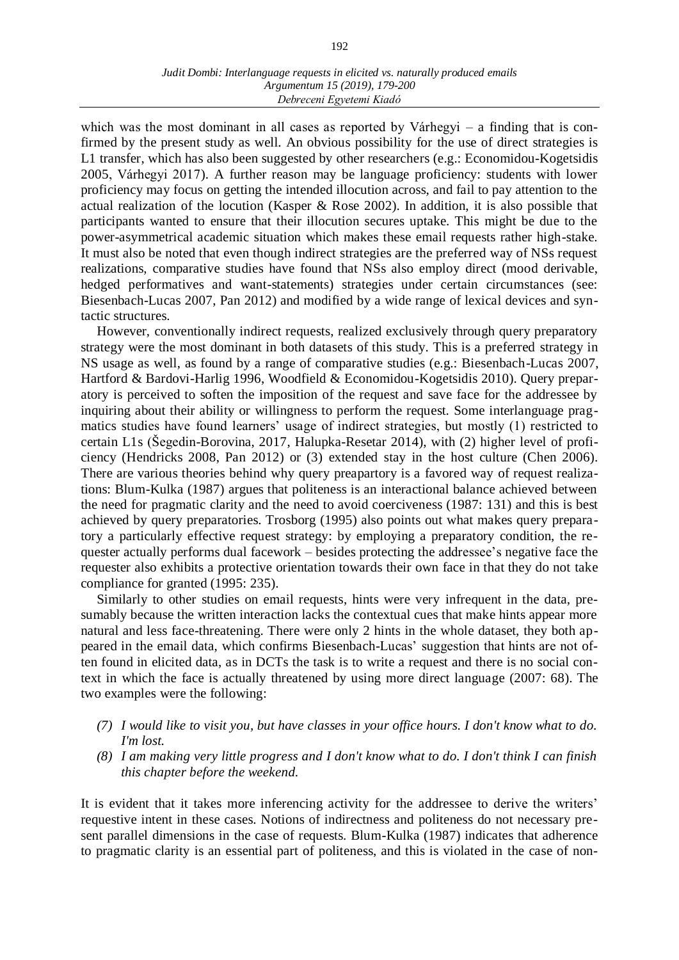which was the most dominant in all cases as reported by Várhegyi – a finding that is confirmed by the present study as well. An obvious possibility for the use of direct strategies is L1 transfer, which has also been suggested by other researchers (e.g.: Economidou-Kogetsidis 2005, Várhegyi 2017). A further reason may be language proficiency: students with lower proficiency may focus on getting the intended illocution across, and fail to pay attention to the actual realization of the locution (Kasper & Rose 2002). In addition, it is also possible that participants wanted to ensure that their illocution secures uptake. This might be due to the power-asymmetrical academic situation which makes these email requests rather high-stake. It must also be noted that even though indirect strategies are the preferred way of NSs request realizations, comparative studies have found that NSs also employ direct (mood derivable, hedged performatives and want-statements) strategies under certain circumstances (see: Biesenbach-Lucas 2007, Pan 2012) and modified by a wide range of lexical devices and syntactic structures.

However, conventionally indirect requests, realized exclusively through query preparatory strategy were the most dominant in both datasets of this study. This is a preferred strategy in NS usage as well, as found by a range of comparative studies (e.g.: Biesenbach-Lucas 2007, Hartford & Bardovi-Harlig 1996, Woodfield & Economidou-Kogetsidis 2010). Query preparatory is perceived to soften the imposition of the request and save face for the addressee by inquiring about their ability or willingness to perform the request. Some interlanguage pragmatics studies have found learners' usage of indirect strategies, but mostly (1) restricted to certain L1s (Šegedin-Borovina, 2017, Halupka-Resetar 2014), with (2) higher level of proficiency (Hendricks 2008, Pan 2012) or (3) extended stay in the host culture (Chen 2006). There are various theories behind why query preapartory is a favored way of request realizations: Blum-Kulka (1987) argues that politeness is an interactional balance achieved between the need for pragmatic clarity and the need to avoid coerciveness (1987: 131) and this is best achieved by query preparatories. Trosborg (1995) also points out what makes query preparatory a particularly effective request strategy: by employing a preparatory condition, the requester actually performs dual facework – besides protecting the addressee's negative face the requester also exhibits a protective orientation towards their own face in that they do not take compliance for granted (1995: 235).

Similarly to other studies on email requests, hints were very infrequent in the data, presumably because the written interaction lacks the contextual cues that make hints appear more natural and less face-threatening. There were only 2 hints in the whole dataset, they both appeared in the email data, which confirms Biesenbach-Lucas' suggestion that hints are not often found in elicited data, as in DCTs the task is to write a request and there is no social context in which the face is actually threatened by using more direct language (2007: 68). The two examples were the following:

- *(7) I would like to visit you, but have classes in your office hours. I don't know what to do. I'm lost.*
- *(8) I am making very little progress and I don't know what to do. I don't think I can finish this chapter before the weekend.*

It is evident that it takes more inferencing activity for the addressee to derive the writers' requestive intent in these cases. Notions of indirectness and politeness do not necessary present parallel dimensions in the case of requests. Blum-Kulka (1987) indicates that adherence to pragmatic clarity is an essential part of politeness, and this is violated in the case of non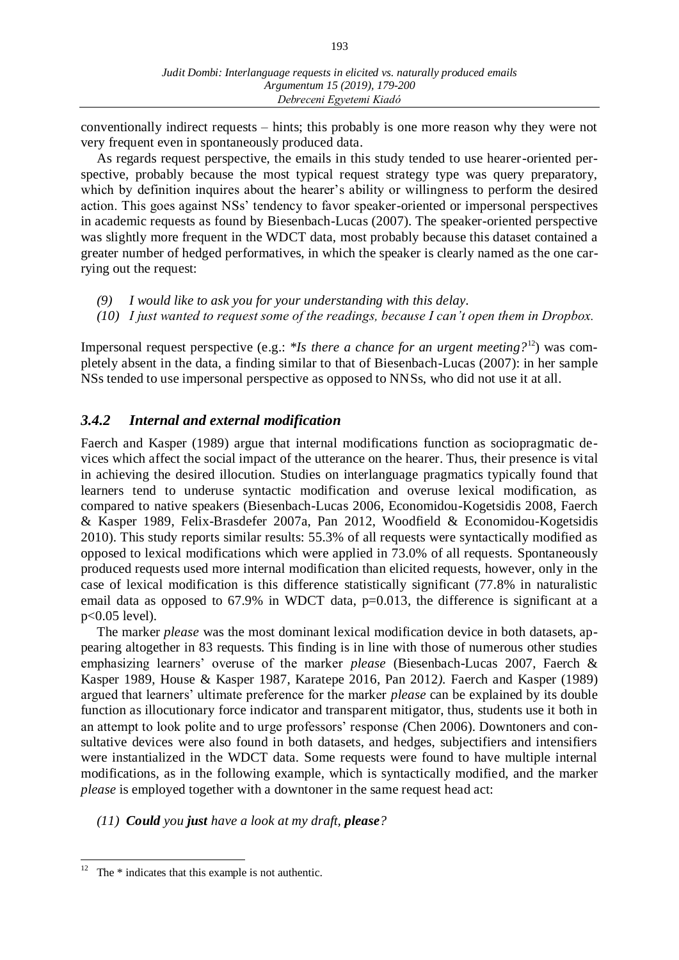conventionally indirect requests – hints; this probably is one more reason why they were not very frequent even in spontaneously produced data.

As regards request perspective, the emails in this study tended to use hearer-oriented perspective, probably because the most typical request strategy type was query preparatory, which by definition inquires about the hearer's ability or willingness to perform the desired action. This goes against NSs' tendency to favor speaker-oriented or impersonal perspectives in academic requests as found by Biesenbach-Lucas (2007). The speaker-oriented perspective was slightly more frequent in the WDCT data, most probably because this dataset contained a greater number of hedged performatives, in which the speaker is clearly named as the one carrying out the request:

- *(9) I would like to ask you for your understanding with this delay.*
- *(10) I just wanted to request some of the readings, because I can't open them in Dropbox.*

Impersonal request perspective (e.g.: \**Is there a chance for an urgent meeting?*<sup>12</sup>) was completely absent in the data, a finding similar to that of Biesenbach-Lucas (2007): in her sample NSs tended to use impersonal perspective as opposed to NNSs, who did not use it at all.

# *3.4.2 Internal and external modification*

Faerch and Kasper (1989) argue that internal modifications function as sociopragmatic devices which affect the social impact of the utterance on the hearer. Thus, their presence is vital in achieving the desired illocution. Studies on interlanguage pragmatics typically found that learners tend to underuse syntactic modification and overuse lexical modification, as compared to native speakers (Biesenbach-Lucas 2006, Economidou-Kogetsidis 2008, Faerch & Kasper 1989, Felix-Brasdefer 2007a, Pan 2012, Woodfield & Economidou-Kogetsidis 2010). This study reports similar results: 55.3% of all requests were syntactically modified as opposed to lexical modifications which were applied in 73.0% of all requests. Spontaneously produced requests used more internal modification than elicited requests, however, only in the case of lexical modification is this difference statistically significant (77.8% in naturalistic email data as opposed to 67.9% in WDCT data, p=0.013, the difference is significant at a p<0.05 level).

The marker *please* was the most dominant lexical modification device in both datasets, appearing altogether in 83 requests. This finding is in line with those of numerous other studies emphasizing learners' overuse of the marker *please* (Biesenbach-Lucas 2007, Faerch & Kasper 1989, House & Kasper 1987, Karatepe 2016, Pan 2012*).* Faerch and Kasper (1989) argued that learners' ultimate preference for the marker *please* can be explained by its double function as illocutionary force indicator and transparent mitigator, thus, students use it both in an attempt to look polite and to urge professors' response *(*Chen 2006). Downtoners and consultative devices were also found in both datasets, and hedges, subjectifiers and intensifiers were instantialized in the WDCT data. Some requests were found to have multiple internal modifications, as in the following example, which is syntactically modified, and the marker *please* is employed together with a downtoner in the same request head act:

*(11) Could you just have a look at my draft, please?*

The \* indicates that this example is not authentic.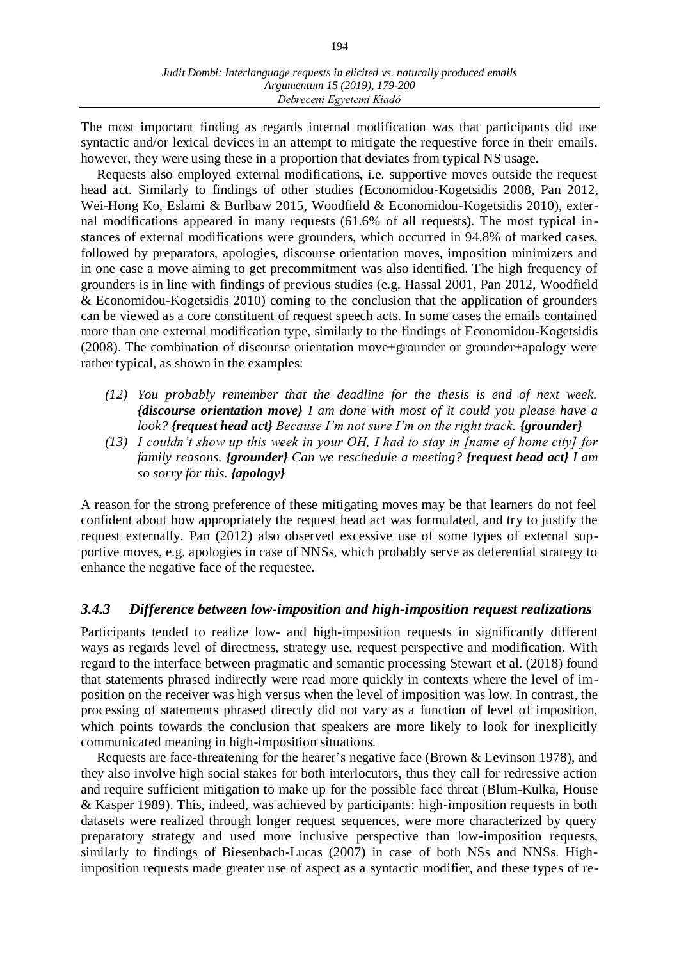The most important finding as regards internal modification was that participants did use syntactic and/or lexical devices in an attempt to mitigate the requestive force in their emails, however, they were using these in a proportion that deviates from typical NS usage.

Requests also employed external modifications, i.e. supportive moves outside the request head act. Similarly to findings of other studies (Economidou-Kogetsidis 2008, Pan 2012, Wei-Hong Ko, Eslami & Burlbaw 2015, Woodfield & Economidou-Kogetsidis 2010), external modifications appeared in many requests (61.6% of all requests). The most typical instances of external modifications were grounders, which occurred in 94.8% of marked cases, followed by preparators, apologies, discourse orientation moves, imposition minimizers and in one case a move aiming to get precommitment was also identified. The high frequency of grounders is in line with findings of previous studies (e.g. Hassal 2001, Pan 2012, Woodfield & Economidou-Kogetsidis 2010) coming to the conclusion that the application of grounders can be viewed as a core constituent of request speech acts. In some cases the emails contained more than one external modification type, similarly to the findings of Economidou-Kogetsidis (2008). The combination of discourse orientation move+grounder or grounder+apology were rather typical, as shown in the examples:

- *(12) You probably remember that the deadline for the thesis is end of next week. {discourse orientation move} I am done with most of it could you please have a look? {request head act} Because I'm not sure I'm on the right track. {grounder}*
- *(13) I couldn't show up this week in your OH, I had to stay in [name of home city] for family reasons. {grounder} Can we reschedule a meeting? {request head act} I am so sorry for this. {apology}*

A reason for the strong preference of these mitigating moves may be that learners do not feel confident about how appropriately the request head act was formulated, and try to justify the request externally. Pan (2012) also observed excessive use of some types of external supportive moves, e.g. apologies in case of NNSs, which probably serve as deferential strategy to enhance the negative face of the requestee.

# *3.4.3 Difference between low-imposition and high-imposition request realizations*

Participants tended to realize low- and high-imposition requests in significantly different ways as regards level of directness, strategy use, request perspective and modification. With regard to the interface between pragmatic and semantic processing Stewart et al. (2018) found that statements phrased indirectly were read more quickly in contexts where the level of imposition on the receiver was high versus when the level of imposition was low. In contrast, the processing of statements phrased directly did not vary as a function of level of imposition, which points towards the conclusion that speakers are more likely to look for inexplicitly communicated meaning in high-imposition situations.

Requests are face-threatening for the hearer's negative face (Brown & Levinson 1978), and they also involve high social stakes for both interlocutors, thus they call for redressive action and require sufficient mitigation to make up for the possible face threat (Blum-Kulka, House & Kasper 1989). This, indeed, was achieved by participants: high-imposition requests in both datasets were realized through longer request sequences, were more characterized by query preparatory strategy and used more inclusive perspective than low-imposition requests, similarly to findings of Biesenbach-Lucas (2007) in case of both NSs and NNSs. Highimposition requests made greater use of aspect as a syntactic modifier, and these types of re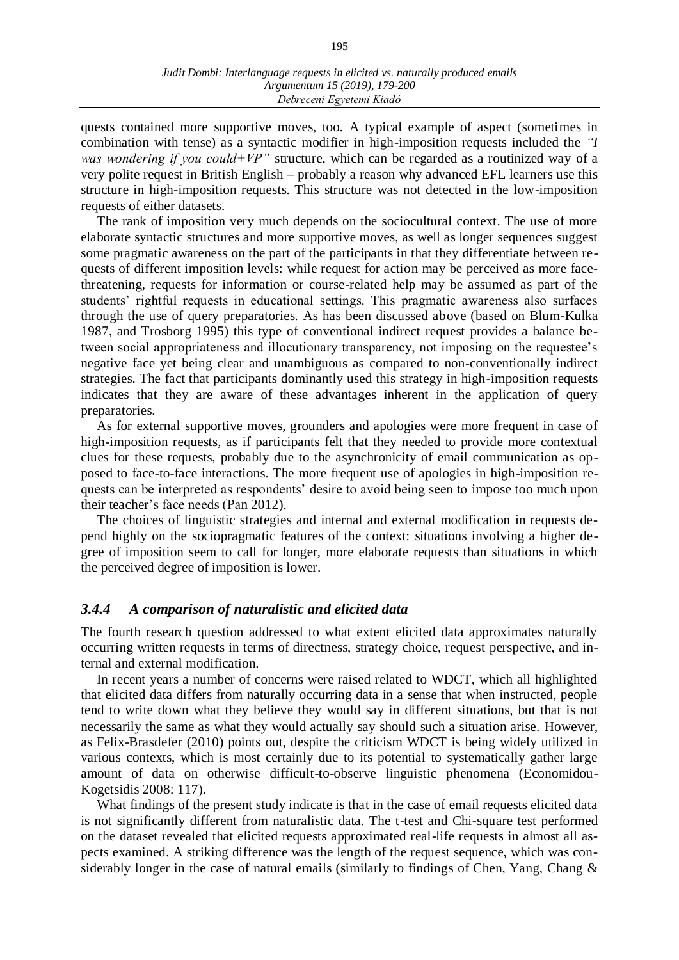quests contained more supportive moves, too. A typical example of aspect (sometimes in combination with tense) as a syntactic modifier in high-imposition requests included the *"I was wondering if you could+VP"* structure, which can be regarded as a routinized way of a very polite request in British English – probably a reason why advanced EFL learners use this structure in high-imposition requests. This structure was not detected in the low-imposition requests of either datasets.

The rank of imposition very much depends on the sociocultural context. The use of more elaborate syntactic structures and more supportive moves, as well as longer sequences suggest some pragmatic awareness on the part of the participants in that they differentiate between requests of different imposition levels: while request for action may be perceived as more facethreatening, requests for information or course-related help may be assumed as part of the students' rightful requests in educational settings. This pragmatic awareness also surfaces through the use of query preparatories. As has been discussed above (based on Blum-Kulka 1987, and Trosborg 1995) this type of conventional indirect request provides a balance between social appropriateness and illocutionary transparency, not imposing on the requestee's negative face yet being clear and unambiguous as compared to non-conventionally indirect strategies. The fact that participants dominantly used this strategy in high-imposition requests indicates that they are aware of these advantages inherent in the application of query preparatories.

As for external supportive moves, grounders and apologies were more frequent in case of high-imposition requests, as if participants felt that they needed to provide more contextual clues for these requests, probably due to the asynchronicity of email communication as opposed to face-to-face interactions. The more frequent use of apologies in high-imposition requests can be interpreted as respondents' desire to avoid being seen to impose too much upon their teacher's face needs (Pan 2012).

The choices of linguistic strategies and internal and external modification in requests depend highly on the sociopragmatic features of the context: situations involving a higher degree of imposition seem to call for longer, more elaborate requests than situations in which the perceived degree of imposition is lower.

## *3.4.4 A comparison of naturalistic and elicited data*

The fourth research question addressed to what extent elicited data approximates naturally occurring written requests in terms of directness, strategy choice, request perspective, and internal and external modification.

In recent years a number of concerns were raised related to WDCT, which all highlighted that elicited data differs from naturally occurring data in a sense that when instructed, people tend to write down what they believe they would say in different situations, but that is not necessarily the same as what they would actually say should such a situation arise. However, as Felix-Brasdefer (2010) points out, despite the criticism WDCT is being widely utilized in various contexts, which is most certainly due to its potential to systematically gather large amount of data on otherwise difficult-to-observe linguistic phenomena (Economidou-Kogetsidis 2008: 117).

What findings of the present study indicate is that in the case of email requests elicited data is not significantly different from naturalistic data. The t-test and Chi-square test performed on the dataset revealed that elicited requests approximated real-life requests in almost all aspects examined. A striking difference was the length of the request sequence, which was considerably longer in the case of natural emails (similarly to findings of Chen, Yang, Chang &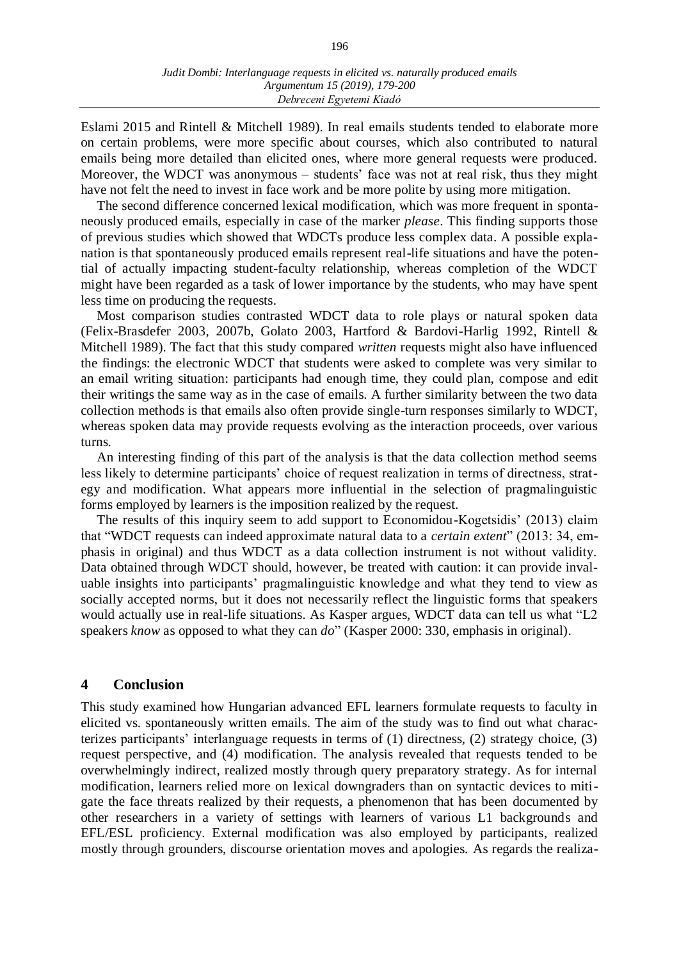196

Eslami 2015 and Rintell & Mitchell 1989). In real emails students tended to elaborate more on certain problems, were more specific about courses, which also contributed to natural emails being more detailed than elicited ones, where more general requests were produced. Moreover, the WDCT was anonymous – students' face was not at real risk, thus they might have not felt the need to invest in face work and be more polite by using more mitigation.

The second difference concerned lexical modification, which was more frequent in spontaneously produced emails, especially in case of the marker *please*. This finding supports those of previous studies which showed that WDCTs produce less complex data. A possible explanation is that spontaneously produced emails represent real-life situations and have the potential of actually impacting student-faculty relationship, whereas completion of the WDCT might have been regarded as a task of lower importance by the students, who may have spent less time on producing the requests.

Most comparison studies contrasted WDCT data to role plays or natural spoken data (Felix-Brasdefer 2003, 2007b, Golato 2003, Hartford & Bardovi-Harlig 1992, Rintell & Mitchell 1989). The fact that this study compared *written* requests might also have influenced the findings: the electronic WDCT that students were asked to complete was very similar to an email writing situation: participants had enough time, they could plan, compose and edit their writings the same way as in the case of emails. A further similarity between the two data collection methods is that emails also often provide single-turn responses similarly to WDCT, whereas spoken data may provide requests evolving as the interaction proceeds, over various turns.

An interesting finding of this part of the analysis is that the data collection method seems less likely to determine participants' choice of request realization in terms of directness, strategy and modification. What appears more influential in the selection of pragmalinguistic forms employed by learners is the imposition realized by the request.

The results of this inquiry seem to add support to Economidou-Kogetsidis' (2013) claim that "WDCT requests can indeed approximate natural data to a *certain extent*" (2013: 34, emphasis in original) and thus WDCT as a data collection instrument is not without validity. Data obtained through WDCT should, however, be treated with caution: it can provide invaluable insights into participants' pragmalinguistic knowledge and what they tend to view as socially accepted norms, but it does not necessarily reflect the linguistic forms that speakers would actually use in real-life situations. As Kasper argues, WDCT data can tell us what "L2 speakers *know* as opposed to what they can *do*" (Kasper 2000: 330, emphasis in original).

#### **4 Conclusion**

This study examined how Hungarian advanced EFL learners formulate requests to faculty in elicited vs. spontaneously written emails. The aim of the study was to find out what characterizes participants' interlanguage requests in terms of (1) directness, (2) strategy choice, (3) request perspective, and (4) modification. The analysis revealed that requests tended to be overwhelmingly indirect, realized mostly through query preparatory strategy. As for internal modification, learners relied more on lexical downgraders than on syntactic devices to mitigate the face threats realized by their requests, a phenomenon that has been documented by other researchers in a variety of settings with learners of various L1 backgrounds and EFL/ESL proficiency. External modification was also employed by participants, realized mostly through grounders, discourse orientation moves and apologies. As regards the realiza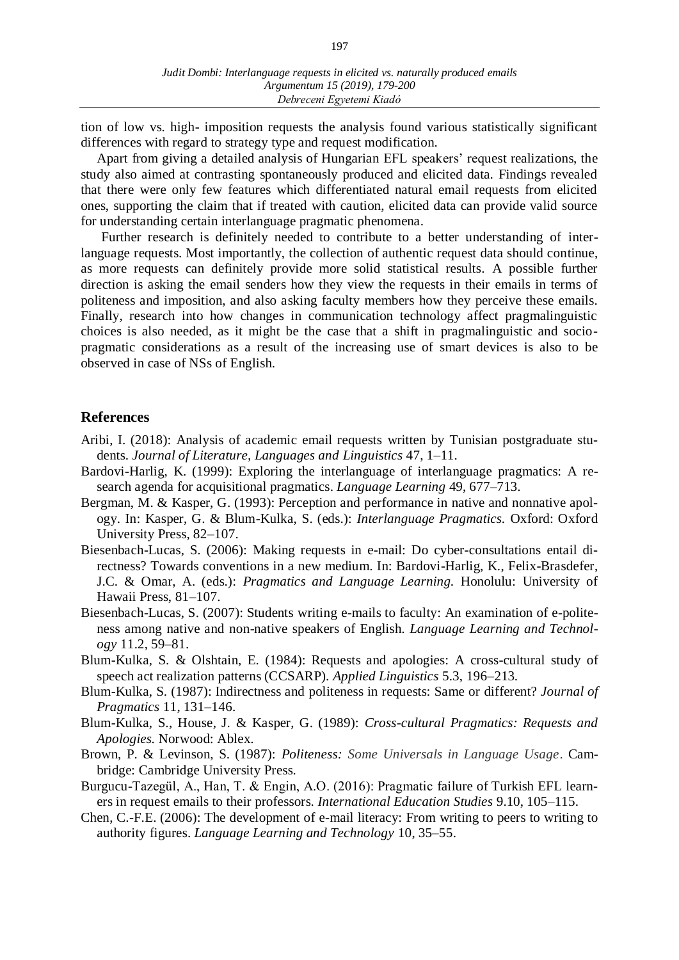tion of low vs. high- imposition requests the analysis found various statistically significant differences with regard to strategy type and request modification.

Apart from giving a detailed analysis of Hungarian EFL speakers' request realizations, the study also aimed at contrasting spontaneously produced and elicited data. Findings revealed that there were only few features which differentiated natural email requests from elicited ones, supporting the claim that if treated with caution, elicited data can provide valid source for understanding certain interlanguage pragmatic phenomena.

Further research is definitely needed to contribute to a better understanding of interlanguage requests. Most importantly, the collection of authentic request data should continue, as more requests can definitely provide more solid statistical results. A possible further direction is asking the email senders how they view the requests in their emails in terms of politeness and imposition, and also asking faculty members how they perceive these emails. Finally, research into how changes in communication technology affect pragmalinguistic choices is also needed, as it might be the case that a shift in pragmalinguistic and sociopragmatic considerations as a result of the increasing use of smart devices is also to be observed in case of NSs of English.

# **References**

- Aribi, I. (2018): Analysis of academic email requests written by Tunisian postgraduate students*. Journal of Literature, Languages and Linguistics* 47, 1–11.
- Bardovi-Harlig, K. (1999): Exploring the interlanguage of interlanguage pragmatics: A research agenda for acquisitional pragmatics. *Language Learning* 49, 677–713.
- Bergman, M. & Kasper, G. (1993): Perception and performance in native and nonnative apology. In: Kasper, G. & Blum-Kulka, S. (eds.): *Interlanguage Pragmatics.* Oxford: Oxford University Press, 82–107.
- Biesenbach-Lucas, S. (2006): Making requests in e-mail: Do cyber-consultations entail directness? Towards conventions in a new medium. In: Bardovi-Harlig, K., Felix-Brasdefer, J.C. & Omar, A. (eds.): *Pragmatics and Language Learning.* Honolulu: University of Hawaii Press, 81–107.
- Biesenbach-Lucas, S. (2007): Students writing e-mails to faculty: An examination of e-politeness among native and non-native speakers of English. *Language Learning and Technology* 11.2, 59–81.
- Blum-Kulka, S. & Olshtain, E. (1984): Requests and apologies: A cross-cultural study of speech act realization patterns (CCSARP). *Applied Linguistics* 5.3, 196–213.
- Blum-Kulka, S. (1987): Indirectness and politeness in requests: Same or different? *Journal of Pragmatics* 11, 131–146.
- Blum-Kulka, S., House, J. & Kasper, G. (1989): *Cross-cultural Pragmatics: Requests and Apologies.* Norwood: Ablex.
- Brown, P. & Levinson, S. (1987): *Politeness: Some Universals in Language Usage*. Cambridge: Cambridge University Press.
- Burgucu-Tazegül, A., Han, T. & Engin, A.O. (2016): Pragmatic failure of Turkish EFL learners in request emails to their professors. *International Education Studies* 9.10, 105–115.
- Chen, C.-F.E. (2006): The development of e-mail literacy: From writing to peers to writing to authority figures. *Language Learning and Technology* 10, 35–55.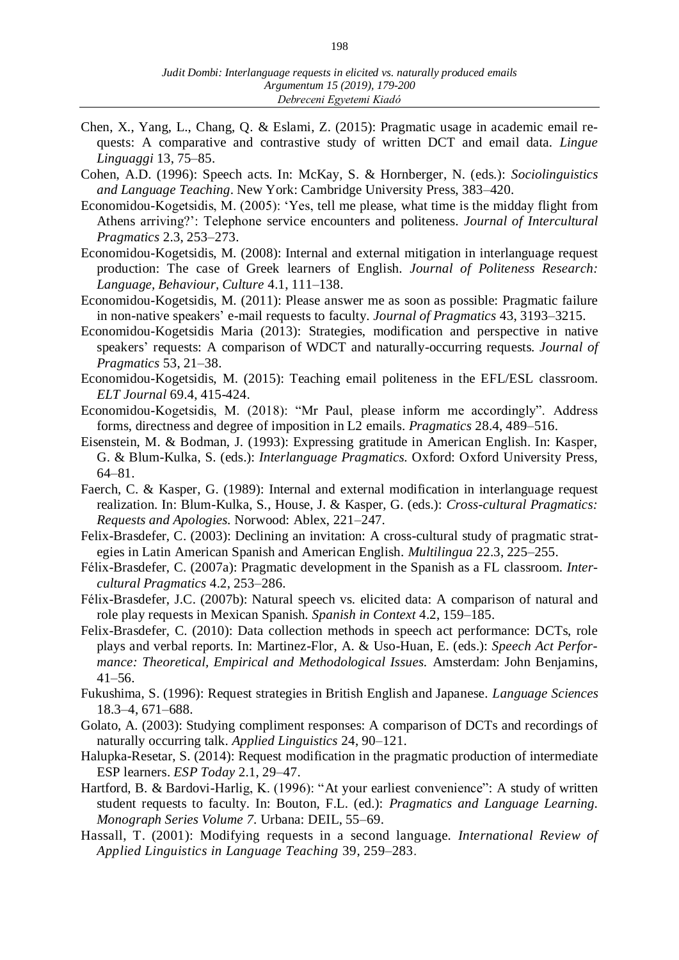- Chen, X., Yang, L., Chang, Q. & Eslami, Z. (2015): Pragmatic usage in academic email requests: A comparative and contrastive study of written DCT and email data. *Lingue Linguaggi* 13, 75–85.
- Cohen, A.D. (1996): Speech acts. In: McKay, S. & Hornberger, N. (eds.): *Sociolinguistics and Language Teaching*. New York: Cambridge University Press, 383–420.
- Economidou-Kogetsidis, M. (2005): 'Yes, tell me please, what time is the midday flight from Athens arriving?': Telephone service encounters and politeness. *Journal of Intercultural Pragmatics* 2.3, 253–273.
- Economidou-Kogetsidis, M. (2008): Internal and external mitigation in interlanguage request production: The case of Greek learners of English. *Journal of Politeness Research: Language, Behaviour, Culture* 4.1, 111–138.
- Economidou-Kogetsidis, M. (2011): Please answer me as soon as possible: Pragmatic failure in non-native speakers' e-mail requests to faculty. *Journal of Pragmatics* 43, 3193–3215.
- Economidou-Kogetsidis Maria (2013): Strategies, modification and perspective in native speakers' requests: A comparison of WDCT and naturally-occurring requests. *Journal of Pragmatics* 53, 21–38.
- Economidou-Kogetsidis, M. (2015): Teaching email politeness in the EFL/ESL classroom. *ELT Journal* 69.4, 415-424.
- Economidou-Kogetsidis, M. (2018): "Mr Paul, please inform me accordingly". Address forms, directness and degree of imposition in L2 emails. *Pragmatics* 28.4, 489–516.
- Eisenstein, M. & Bodman, J. (1993): Expressing gratitude in American English. In: Kasper, G. & Blum-Kulka, S. (eds.): *Interlanguage Pragmatics.* Oxford: Oxford University Press, 64–81.
- Faerch, C. & Kasper, G. (1989): Internal and external modification in interlanguage request realization. In: Blum-Kulka, S., House, J. & Kasper, G. (eds.): *Cross-cultural Pragmatics: Requests and Apologies.* Norwood: Ablex, 221–247.
- Felix-Brasdefer, C. (2003): Declining an invitation: A cross-cultural study of pragmatic strategies in Latin American Spanish and American English. *Multilingua* 22.3, 225–255.
- Félix-Brasdefer, C. (2007a): Pragmatic development in the Spanish as a FL classroom. *Intercultural Pragmatics* 4.2, 253–286.
- Félix-Brasdefer, J.C. (2007b): Natural speech vs. elicited data: A comparison of natural and role play requests in Mexican Spanish. *Spanish in Context* 4.2, 159–185.
- Felix-Brasdefer, C. (2010): Data collection methods in speech act performance: DCTs, role plays and verbal reports. In: Martinez-Flor, A. & Uso-Huan, E. (eds.): *Speech Act Performance: Theoretical, Empirical and Methodological Issues.* Amsterdam: John Benjamins, 41–56.
- Fukushima, S. (1996): Request strategies in British English and Japanese*. Language Sciences* 18.3–4, 671–688.
- Golato, A. (2003): Studying compliment responses: A comparison of DCTs and recordings of naturally occurring talk. *Applied Linguistics* 24, 90–121.
- Halupka-Resetar, S. (2014): Request modification in the pragmatic production of intermediate ESP learners. *ESP Today* 2.1, 29–47.
- Hartford, B. & Bardovi-Harlig, K. (1996): "At your earliest convenience": A study of written student requests to faculty. In: Bouton, F.L. (ed.): *Pragmatics and Language Learning. Monograph Series Volume 7.* Urbana: DEIL, 55–69.
- Hassall, T. (2001): Modifying requests in a second language*. International Review of Applied Linguistics in Language Teaching* 39, 259–283.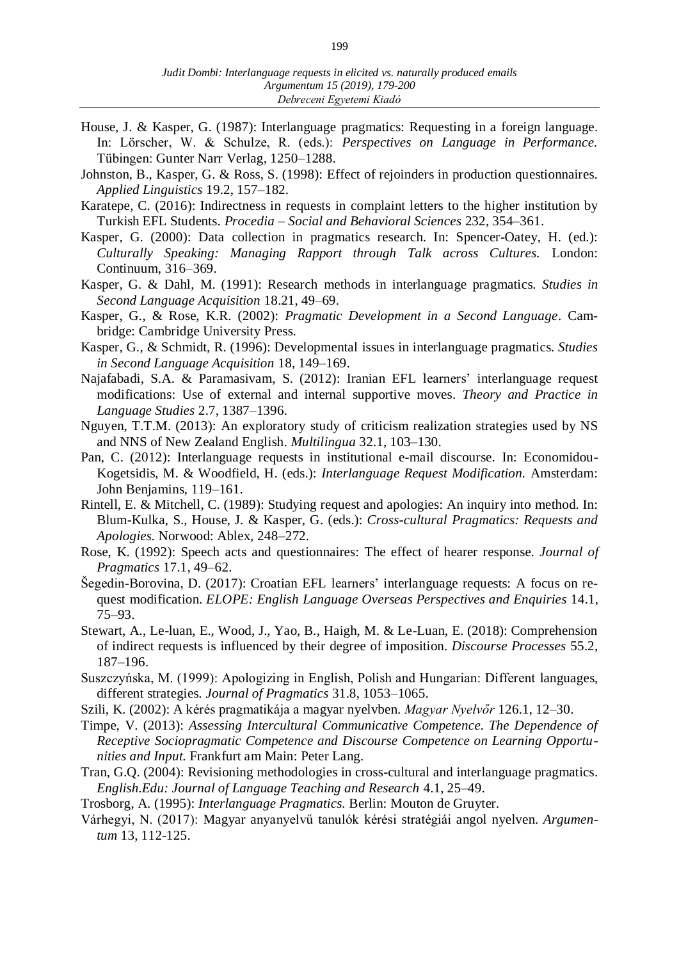- House, J. & Kasper, G. (1987): Interlanguage pragmatics: Requesting in a foreign language. In: Lörscher, W. & Schulze, R. (eds.): *Perspectives on Language in Performance.* Tübingen: Gunter Narr Verlag, 1250–1288.
- Johnston, B., Kasper, G. & Ross, S. (1998): Effect of rejoinders in production questionnaires. *Applied Linguistics* 19.2, 157–182.
- Karatepe, C. (2016): Indirectness in requests in complaint letters to the higher institution by Turkish EFL Students. *Procedia – Social and Behavioral Sciences* 232, 354–361.
- Kasper, G. (2000): Data collection in pragmatics research. In: Spencer-Oatey, H. (ed.): *Culturally Speaking: Managing Rapport through Talk across Cultures.* London: Continuum, 316–369.
- Kasper, G. & Dahl, M. (1991): Research methods in interlanguage pragmatics. *Studies in Second Language Acquisition* 18.21, 49–69.
- Kasper, G., & Rose, K.R. (2002): *Pragmatic Development in a Second Language.* Cambridge: Cambridge University Press.
- Kasper, G., & Schmidt, R. (1996): Developmental issues in interlanguage pragmatics. *Studies in Second Language Acquisition* 18, 149–169.
- Najafabadi, S.A. & Paramasivam, S. (2012): Iranian EFL learners' interlanguage request modifications: Use of external and internal supportive moves. *Theory and Practice in Language Studies* 2.7, 1387–1396.
- Nguyen, T.T.M. (2013): An exploratory study of criticism realization strategies used by NS and NNS of New Zealand English. *Multilingua* 32.1, 103–130.
- Pan, C. (2012): Interlanguage requests in institutional e-mail discourse. In: Economidou-Kogetsidis, M. & Woodfield, H. (eds.): *Interlanguage Request Modification.* Amsterdam: John Benjamins, 119–161.
- Rintell, E. & Mitchell, C. (1989): Studying request and apologies: An inquiry into method. In: Blum-Kulka, S., House, J. & Kasper, G. (eds.): *Cross-cultural Pragmatics: Requests and Apologies.* Norwood: Ablex, 248–272.
- Rose, K. (1992): Speech acts and questionnaires: The effect of hearer response. *Journal of Pragmatics* 17.1, 49–62.
- Šegedin-Borovina, D. (2017): Croatian EFL learners' interlanguage requests: A focus on request modification. *ELOPE: English Language Overseas Perspectives and Enquiries* 14.1, 75–93.
- Stewart, A., Le-luan, E., Wood, J., Yao, B., Haigh, M. & Le-Luan, E. (2018): Comprehension of indirect requests is influenced by their degree of imposition. *Discourse Processes* 55.2, 187–196.
- Suszczyńska, M. (1999): Apologizing in English, Polish and Hungarian: Different languages, different strategies. *Journal of Pragmatics* 31.8, 1053–1065.
- Szili, K. (2002): A kérés pragmatikája a magyar nyelvben. *Magyar Nyelvőr* 126.1, 12–30.
- Timpe, V. (2013): *Assessing Intercultural Communicative Competence. The Dependence of Receptive Sociopragmatic Competence and Discourse Competence on Learning Opportunities and Input.* Frankfurt am Main: Peter Lang.
- Tran, G.Q. (2004): Revisioning methodologies in cross-cultural and interlanguage pragmatics. *English.Edu: Journal of Language Teaching and Research* 4.1, 25–49.
- Trosborg, A. (1995): *Interlanguage Pragmatics.* Berlin: Mouton de Gruyter.
- Várhegyi, N. (2017): Magyar anyanyelvű tanulók kérési stratégiái angol nyelven. *Argumentum* 13, 112-125.